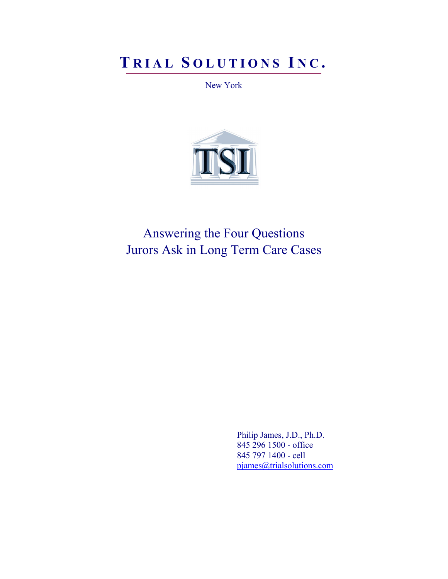# **T RIAL S OLUTIONS I N C .**

New York



Answering the Four Questions Jurors Ask in Long Term Care Cases

> Philip James, J.D., Ph.D. 845 296 1500 - office 845 797 1400 - cell pjames@trialsolutions.com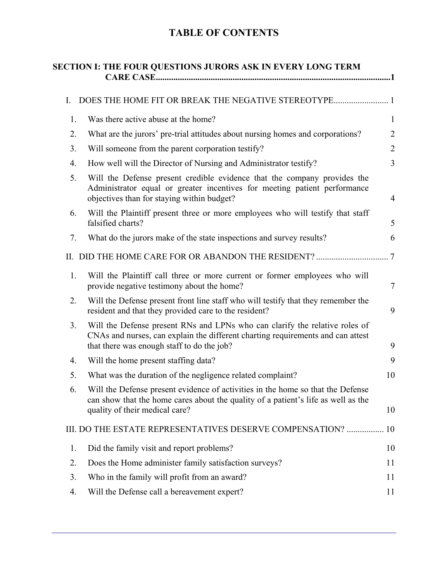# **TABLE OF CONTENTS**

| SECTION I: THE FOUR QUESTIONS JURORS ASK IN EVERY LONG TERM |                                                                                                                                                                                                              |                |  |  |
|-------------------------------------------------------------|--------------------------------------------------------------------------------------------------------------------------------------------------------------------------------------------------------------|----------------|--|--|
| I.                                                          |                                                                                                                                                                                                              |                |  |  |
| 1.                                                          | Was there active abuse at the home?                                                                                                                                                                          | $\mathbf{1}$   |  |  |
| 2.                                                          | What are the jurors' pre-trial attitudes about nursing homes and corporations?                                                                                                                               | $\overline{2}$ |  |  |
| 3.                                                          | Will someone from the parent corporation testify?                                                                                                                                                            | $\overline{2}$ |  |  |
| 4.                                                          | How well will the Director of Nursing and Administrator testify?                                                                                                                                             | 3              |  |  |
| 5.                                                          | Will the Defense present credible evidence that the company provides the<br>Administrator equal or greater incentives for meeting patient performance<br>objectives than for staying within budget?          | $\overline{4}$ |  |  |
| 6.                                                          | Will the Plaintiff present three or more employees who will testify that staff<br>falsified charts?                                                                                                          | 5              |  |  |
| 7.                                                          | What do the jurors make of the state inspections and survey results?                                                                                                                                         | 6              |  |  |
|                                                             |                                                                                                                                                                                                              | .7             |  |  |
| 1.                                                          | Will the Plaintiff call three or more current or former employees who will<br>provide negative testimony about the home?                                                                                     | 7              |  |  |
| 2.                                                          | Will the Defense present front line staff who will testify that they remember the<br>resident and that they provided care to the resident?                                                                   | 9              |  |  |
| 3.                                                          | Will the Defense present RNs and LPNs who can clarify the relative roles of<br>CNAs and nurses, can explain the different charting requirements and can attest<br>that there was enough staff to do the job? | 9              |  |  |
| 4.                                                          | Will the home present staffing data?                                                                                                                                                                         | 9              |  |  |
| 5.                                                          | What was the duration of the negligence related complaint?                                                                                                                                                   | 10             |  |  |
| 6.                                                          | Will the Defense present evidence of activities in the home so that the Defense<br>can show that the home cares about the quality of a patient's life as well as the<br>quality of their medical care?       | 10             |  |  |
|                                                             | III. DO THE ESTATE REPRESENTATIVES DESERVE COMPENSATION?  10                                                                                                                                                 |                |  |  |
| 1.                                                          | Did the family visit and report problems?                                                                                                                                                                    | 10             |  |  |
| 2.                                                          | Does the Home administer family satisfaction surveys?                                                                                                                                                        | 11             |  |  |
| 3.                                                          | Who in the family will profit from an award?                                                                                                                                                                 | 11             |  |  |
| 4.                                                          | Will the Defense call a bereavement expert?                                                                                                                                                                  | 11             |  |  |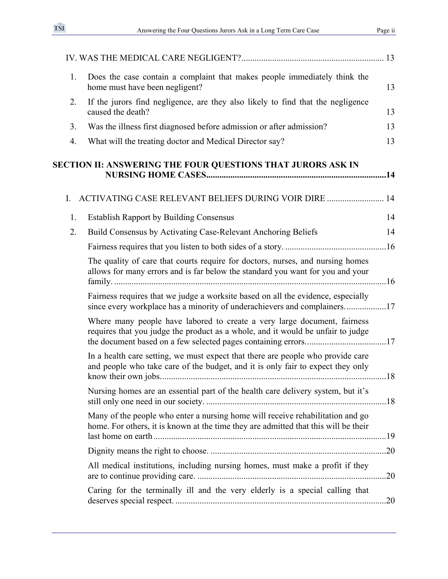| 1. | Does the case contain a complaint that makes people immediately think the<br>home must have been negligent?                                                           | 13  |
|----|-----------------------------------------------------------------------------------------------------------------------------------------------------------------------|-----|
| 2. | If the jurors find negligence, are they also likely to find that the negligence<br>caused the death?                                                                  | 13  |
| 3. | Was the illness first diagnosed before admission or after admission?                                                                                                  | 13  |
| 4. | What will the treating doctor and Medical Director say?                                                                                                               | 13  |
|    | SECTION II: ANSWERING THE FOUR QUESTIONS THAT JURORS ASK IN                                                                                                           |     |
| Ι. | ACTIVATING CASE RELEVANT BELIEFS DURING VOIR DIRE  14                                                                                                                 |     |
| 1. | <b>Establish Rapport by Building Consensus</b>                                                                                                                        | 14  |
| 2. | Build Consensus by Activating Case-Relevant Anchoring Beliefs                                                                                                         | 14  |
|    |                                                                                                                                                                       |     |
|    | The quality of care that courts require for doctors, nurses, and nursing homes<br>allows for many errors and is far below the standard you want for you and your      |     |
|    | Fairness requires that we judge a worksite based on all the evidence, especially<br>since every workplace has a minority of underachievers and complainers17          |     |
|    | Where many people have labored to create a very large document, fairness<br>requires that you judge the product as a whole, and it would be unfair to judge           |     |
|    | In a health care setting, we must expect that there are people who provide care<br>and people who take care of the budget, and it is only fair to expect they only    |     |
|    | Nursing homes are an essential part of the health care delivery system, but it's                                                                                      |     |
|    | Many of the people who enter a nursing home will receive rehabilitation and go<br>home. For others, it is known at the time they are admitted that this will be their |     |
|    |                                                                                                                                                                       |     |
|    | All medical institutions, including nursing homes, must make a profit if they                                                                                         | .20 |
|    | Caring for the terminally ill and the very elderly is a special calling that                                                                                          |     |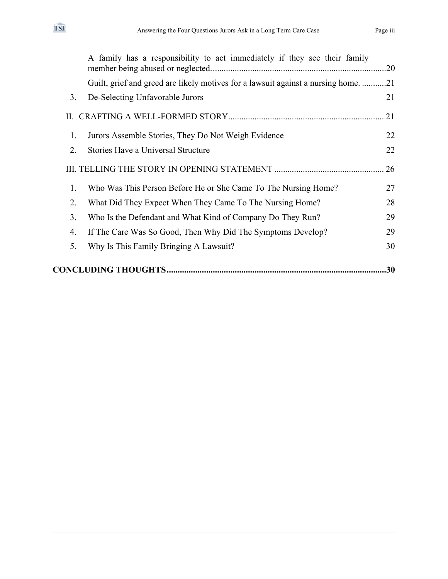|    | A family has a responsibility to act immediately if they see their family        | .20 |  |  |
|----|----------------------------------------------------------------------------------|-----|--|--|
|    | Guilt, grief and greed are likely motives for a lawsuit against a nursing home21 |     |  |  |
| 3. | De-Selecting Unfavorable Jurors                                                  | 21  |  |  |
|    |                                                                                  | 21  |  |  |
| 1. | Jurors Assemble Stories, They Do Not Weigh Evidence                              | 22  |  |  |
| 2. | Stories Have a Universal Structure                                               | 22  |  |  |
|    |                                                                                  | 26  |  |  |
| 1. | Who Was This Person Before He or She Came To The Nursing Home?                   | 27  |  |  |
| 2. | What Did They Expect When They Came To The Nursing Home?                         | 28  |  |  |
| 3. | Who Is the Defendant and What Kind of Company Do They Run?                       | 29  |  |  |
| 4. | If The Care Was So Good, Then Why Did The Symptoms Develop?                      | 29  |  |  |
| 5. | Why Is This Family Bringing A Lawsuit?                                           | 30  |  |  |
| 30 |                                                                                  |     |  |  |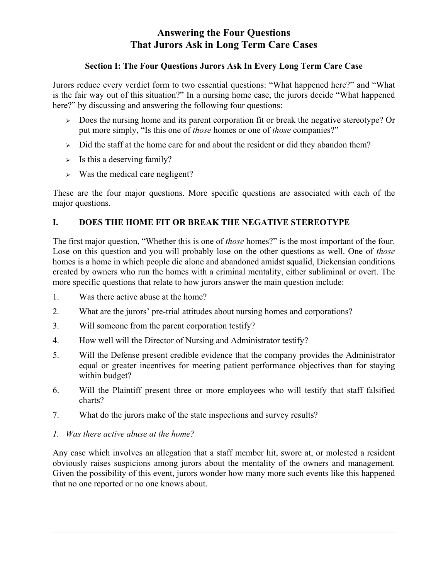# **Answering the Four Questions That Jurors Ask in Long Term Care Cases**

# **Section I: The Four Questions Jurors Ask In Every Long Term Care Case**

Jurors reduce every verdict form to two essential questions: "What happened here?" and "What is the fair way out of this situation?" In a nursing home case, the jurors decide "What happened here?" by discussing and answering the following four questions:

- <sup>¾</sup> Does the nursing home and its parent corporation fit or break the negative stereotype? Or put more simply, "Is this one of *those* homes or one of *those* companies?"
- $\geq$  Did the staff at the home care for and about the resident or did they abandon them?
- $\triangleright$  Is this a deserving family?
- $\triangleright$  Was the medical care negligent?

These are the four major questions. More specific questions are associated with each of the major questions.

# **I. DOES THE HOME FIT OR BREAK THE NEGATIVE STEREOTYPE**

The first major question, "Whether this is one of *those* homes?" is the most important of the four. Lose on this question and you will probably lose on the other questions as well. One of *those* homes is a home in which people die alone and abandoned amidst squalid, Dickensian conditions created by owners who run the homes with a criminal mentality, either subliminal or overt. The more specific questions that relate to how jurors answer the main question include:

- 1. Was there active abuse at the home?
- 2. What are the jurors' pre-trial attitudes about nursing homes and corporations?
- 3. Will someone from the parent corporation testify?
- 4. How well will the Director of Nursing and Administrator testify?
- 5. Will the Defense present credible evidence that the company provides the Administrator equal or greater incentives for meeting patient performance objectives than for staying within budget?
- 6. Will the Plaintiff present three or more employees who will testify that staff falsified charts?
- 7. What do the jurors make of the state inspections and survey results?
- *1. Was there active abuse at the home?*

Any case which involves an allegation that a staff member hit, swore at, or molested a resident obviously raises suspicions among jurors about the mentality of the owners and management. Given the possibility of this event, jurors wonder how many more such events like this happened that no one reported or no one knows about.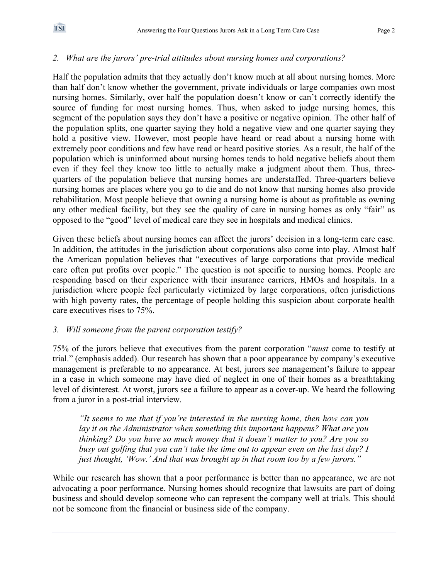# *2. What are the jurors' pre-trial attitudes about nursing homes and corporations?*

Half the population admits that they actually don't know much at all about nursing homes. More than half don't know whether the government, private individuals or large companies own most nursing homes. Similarly, over half the population doesn't know or can't correctly identify the source of funding for most nursing homes. Thus, when asked to judge nursing homes, this segment of the population says they don't have a positive or negative opinion. The other half of the population splits, one quarter saying they hold a negative view and one quarter saying they hold a positive view. However, most people have heard or read about a nursing home with extremely poor conditions and few have read or heard positive stories. As a result, the half of the population which is uninformed about nursing homes tends to hold negative beliefs about them even if they feel they know too little to actually make a judgment about them. Thus, threequarters of the population believe that nursing homes are understaffed. Three-quarters believe nursing homes are places where you go to die and do not know that nursing homes also provide rehabilitation. Most people believe that owning a nursing home is about as profitable as owning any other medical facility, but they see the quality of care in nursing homes as only "fair" as opposed to the "good" level of medical care they see in hospitals and medical clinics.

Given these beliefs about nursing homes can affect the jurors' decision in a long-term care case. In addition, the attitudes in the jurisdiction about corporations also come into play. Almost half the American population believes that "executives of large corporations that provide medical care often put profits over people." The question is not specific to nursing homes. People are responding based on their experience with their insurance carriers, HMOs and hospitals. In a jurisdiction where people feel particularly victimized by large corporations, often jurisdictions with high poverty rates, the percentage of people holding this suspicion about corporate health care executives rises to 75%.

# *3. Will someone from the parent corporation testify?*

75% of the jurors believe that executives from the parent corporation "*must* come to testify at trial." (emphasis added). Our research has shown that a poor appearance by company's executive management is preferable to no appearance. At best, jurors see management's failure to appear in a case in which someone may have died of neglect in one of their homes as a breathtaking level of disinterest. At worst, jurors see a failure to appear as a cover-up. We heard the following from a juror in a post-trial interview.

*"It seems to me that if you're interested in the nursing home, then how can you lay it on the Administrator when something this important happens? What are you thinking? Do you have so much money that it doesn't matter to you? Are you so busy out golfing that you can't take the time out to appear even on the last day? I just thought, 'Wow.' And that was brought up in that room too by a few jurors."* 

While our research has shown that a poor performance is better than no appearance, we are not advocating a poor performance. Nursing homes should recognize that lawsuits are part of doing business and should develop someone who can represent the company well at trials. This should not be someone from the financial or business side of the company.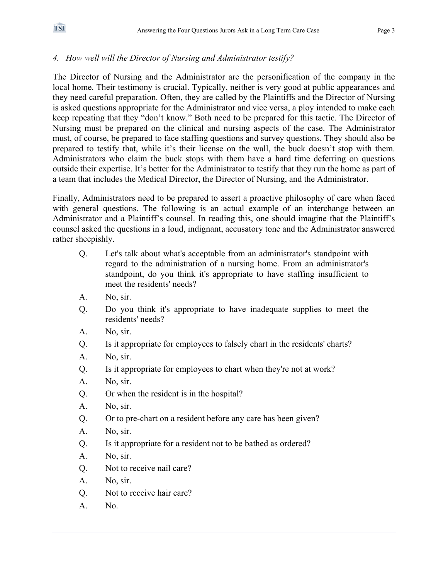# *4. How well will the Director of Nursing and Administrator testify?*

The Director of Nursing and the Administrator are the personification of the company in the local home. Their testimony is crucial. Typically, neither is very good at public appearances and they need careful preparation. Often, they are called by the Plaintiffs and the Director of Nursing is asked questions appropriate for the Administrator and vice versa, a ploy intended to make each keep repeating that they "don't know." Both need to be prepared for this tactic. The Director of Nursing must be prepared on the clinical and nursing aspects of the case. The Administrator must, of course, be prepared to face staffing questions and survey questions. They should also be prepared to testify that, while it's their license on the wall, the buck doesn't stop with them. Administrators who claim the buck stops with them have a hard time deferring on questions outside their expertise. It's better for the Administrator to testify that they run the home as part of a team that includes the Medical Director, the Director of Nursing, and the Administrator.

Finally, Administrators need to be prepared to assert a proactive philosophy of care when faced with general questions. The following is an actual example of an interchange between an Administrator and a Plaintiff's counsel. In reading this, one should imagine that the Plaintiff's counsel asked the questions in a loud, indignant, accusatory tone and the Administrator answered rather sheepishly.

- Q. Let's talk about what's acceptable from an administrator's standpoint with regard to the administration of a nursing home. From an administrator's standpoint, do you think it's appropriate to have staffing insufficient to meet the residents' needs?
- A. No, sir.
- Q. Do you think it's appropriate to have inadequate supplies to meet the residents' needs?
- A. No, sir.
- Q. Is it appropriate for employees to falsely chart in the residents' charts?
- A. No, sir.
- Q. Is it appropriate for employees to chart when they're not at work?
- A. No, sir.
- Q. Or when the resident is in the hospital?
- A. No, sir.
- Q. Or to pre-chart on a resident before any care has been given?
- A. No, sir.
- Q. Is it appropriate for a resident not to be bathed as ordered?
- A. No, sir.
- Q. Not to receive nail care?
- A. No, sir.
- Q. Not to receive hair care?
- A. No.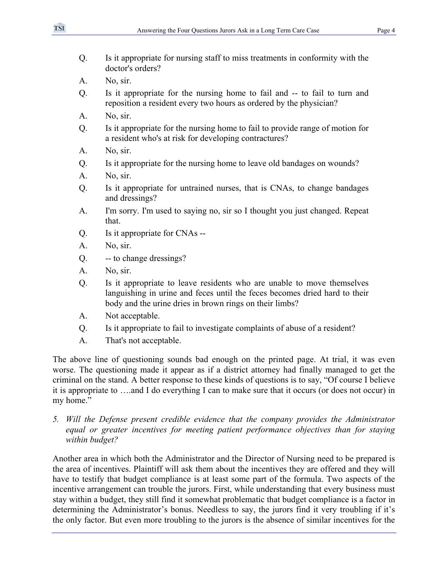- Q. Is it appropriate for nursing staff to miss treatments in conformity with the doctor's orders?
- A. No, sir.
- Q. Is it appropriate for the nursing home to fail and -- to fail to turn and reposition a resident every two hours as ordered by the physician?
- A. No, sir.
- Q. Is it appropriate for the nursing home to fail to provide range of motion for a resident who's at risk for developing contractures?
- A. No, sir.
- Q. Is it appropriate for the nursing home to leave old bandages on wounds?
- A. No, sir.
- Q. Is it appropriate for untrained nurses, that is CNAs, to change bandages and dressings?
- A. I'm sorry. I'm used to saying no, sir so I thought you just changed. Repeat that.
- Q. Is it appropriate for CNAs --
- A. No, sir.
- Q. -- to change dressings?
- A. No, sir.
- Q. Is it appropriate to leave residents who are unable to move themselves languishing in urine and feces until the feces becomes dried hard to their body and the urine dries in brown rings on their limbs?
- A. Not acceptable.
- Q. Is it appropriate to fail to investigate complaints of abuse of a resident?
- A. That's not acceptable.

The above line of questioning sounds bad enough on the printed page. At trial, it was even worse. The questioning made it appear as if a district attorney had finally managed to get the criminal on the stand. A better response to these kinds of questions is to say, "Of course I believe it is appropriate to ….and I do everything I can to make sure that it occurs (or does not occur) in my home."

*5. Will the Defense present credible evidence that the company provides the Administrator equal or greater incentives for meeting patient performance objectives than for staying within budget?* 

Another area in which both the Administrator and the Director of Nursing need to be prepared is the area of incentives. Plaintiff will ask them about the incentives they are offered and they will have to testify that budget compliance is at least some part of the formula. Two aspects of the incentive arrangement can trouble the jurors. First, while understanding that every business must stay within a budget, they still find it somewhat problematic that budget compliance is a factor in determining the Administrator's bonus. Needless to say, the jurors find it very troubling if it's the only factor. But even more troubling to the jurors is the absence of similar incentives for the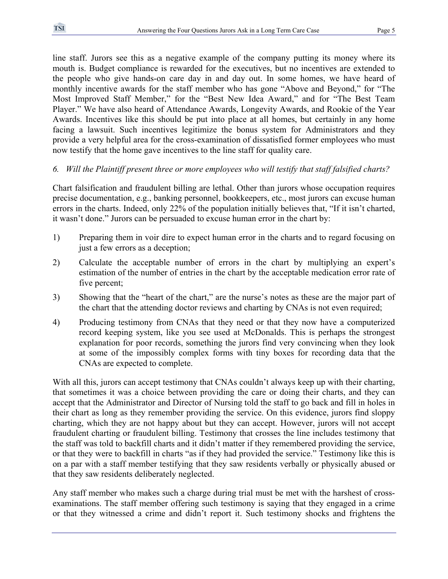line staff. Jurors see this as a negative example of the company putting its money where its mouth is. Budget compliance is rewarded for the executives, but no incentives are extended to the people who give hands-on care day in and day out. In some homes, we have heard of monthly incentive awards for the staff member who has gone "Above and Beyond," for "The Most Improved Staff Member," for the "Best New Idea Award," and for "The Best Team Player." We have also heard of Attendance Awards, Longevity Awards, and Rookie of the Year Awards. Incentives like this should be put into place at all homes, but certainly in any home facing a lawsuit. Such incentives legitimize the bonus system for Administrators and they provide a very helpful area for the cross-examination of dissatisfied former employees who must now testify that the home gave incentives to the line staff for quality care.

#### *6. Will the Plaintiff present three or more employees who will testify that staff falsified charts?*

Chart falsification and fraudulent billing are lethal. Other than jurors whose occupation requires precise documentation, e.g., banking personnel, bookkeepers, etc., most jurors can excuse human errors in the charts. Indeed, only 22% of the population initially believes that, "If it isn't charted, it wasn't done." Jurors can be persuaded to excuse human error in the chart by:

- 1) Preparing them in voir dire to expect human error in the charts and to regard focusing on just a few errors as a deception;
- 2) Calculate the acceptable number of errors in the chart by multiplying an expert's estimation of the number of entries in the chart by the acceptable medication error rate of five percent;
- 3) Showing that the "heart of the chart," are the nurse's notes as these are the major part of the chart that the attending doctor reviews and charting by CNAs is not even required;
- 4) Producing testimony from CNAs that they need or that they now have a computerized record keeping system, like you see used at McDonalds. This is perhaps the strongest explanation for poor records, something the jurors find very convincing when they look at some of the impossibly complex forms with tiny boxes for recording data that the CNAs are expected to complete.

With all this, jurors can accept testimony that CNAs couldn't always keep up with their charting, that sometimes it was a choice between providing the care or doing their charts, and they can accept that the Administrator and Director of Nursing told the staff to go back and fill in holes in their chart as long as they remember providing the service. On this evidence, jurors find sloppy charting, which they are not happy about but they can accept. However, jurors will not accept fraudulent charting or fraudulent billing. Testimony that crosses the line includes testimony that the staff was told to backfill charts and it didn't matter if they remembered providing the service, or that they were to backfill in charts "as if they had provided the service." Testimony like this is on a par with a staff member testifying that they saw residents verbally or physically abused or that they saw residents deliberately neglected.

Any staff member who makes such a charge during trial must be met with the harshest of crossexaminations. The staff member offering such testimony is saying that they engaged in a crime or that they witnessed a crime and didn't report it. Such testimony shocks and frightens the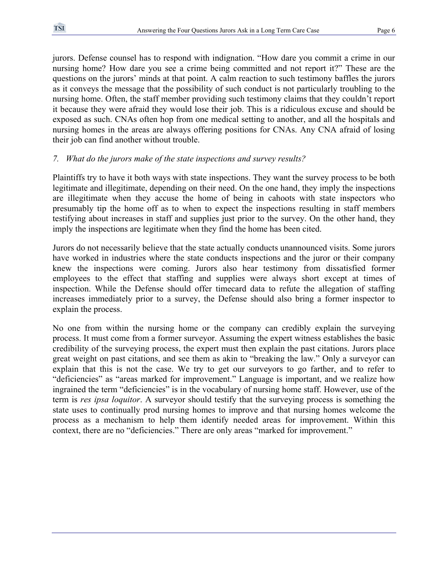jurors. Defense counsel has to respond with indignation. "How dare you commit a crime in our nursing home? How dare you see a crime being committed and not report it?" These are the questions on the jurors' minds at that point. A calm reaction to such testimony baffles the jurors as it conveys the message that the possibility of such conduct is not particularly troubling to the nursing home. Often, the staff member providing such testimony claims that they couldn't report it because they were afraid they would lose their job. This is a ridiculous excuse and should be exposed as such. CNAs often hop from one medical setting to another, and all the hospitals and nursing homes in the areas are always offering positions for CNAs. Any CNA afraid of losing their job can find another without trouble.

#### *7. What do the jurors make of the state inspections and survey results?*

Plaintiffs try to have it both ways with state inspections. They want the survey process to be both legitimate and illegitimate, depending on their need. On the one hand, they imply the inspections are illegitimate when they accuse the home of being in cahoots with state inspectors who presumably tip the home off as to when to expect the inspections resulting in staff members testifying about increases in staff and supplies just prior to the survey. On the other hand, they imply the inspections are legitimate when they find the home has been cited.

Jurors do not necessarily believe that the state actually conducts unannounced visits. Some jurors have worked in industries where the state conducts inspections and the juror or their company knew the inspections were coming. Jurors also hear testimony from dissatisfied former employees to the effect that staffing and supplies were always short except at times of inspection. While the Defense should offer timecard data to refute the allegation of staffing increases immediately prior to a survey, the Defense should also bring a former inspector to explain the process.

No one from within the nursing home or the company can credibly explain the surveying process. It must come from a former surveyor. Assuming the expert witness establishes the basic credibility of the surveying process, the expert must then explain the past citations. Jurors place great weight on past citations, and see them as akin to "breaking the law." Only a surveyor can explain that this is not the case. We try to get our surveyors to go farther, and to refer to "deficiencies" as "areas marked for improvement." Language is important, and we realize how ingrained the term "deficiencies" is in the vocabulary of nursing home staff. However, use of the term is *res ipsa loquitor*. A surveyor should testify that the surveying process is something the state uses to continually prod nursing homes to improve and that nursing homes welcome the process as a mechanism to help them identify needed areas for improvement. Within this context, there are no "deficiencies." There are only areas "marked for improvement."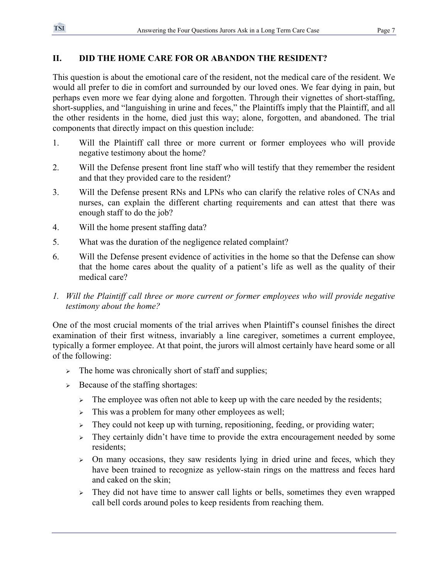# **II. DID THE HOME CARE FOR OR ABANDON THE RESIDENT?**

This question is about the emotional care of the resident, not the medical care of the resident. We would all prefer to die in comfort and surrounded by our loved ones. We fear dying in pain, but perhaps even more we fear dying alone and forgotten. Through their vignettes of short-staffing, short-supplies, and "languishing in urine and feces," the Plaintiffs imply that the Plaintiff, and all the other residents in the home, died just this way; alone, forgotten, and abandoned. The trial components that directly impact on this question include:

- 1. Will the Plaintiff call three or more current or former employees who will provide negative testimony about the home?
- 2. Will the Defense present front line staff who will testify that they remember the resident and that they provided care to the resident?
- 3. Will the Defense present RNs and LPNs who can clarify the relative roles of CNAs and nurses, can explain the different charting requirements and can attest that there was enough staff to do the job?
- 4. Will the home present staffing data?
- 5. What was the duration of the negligence related complaint?
- 6. Will the Defense present evidence of activities in the home so that the Defense can show that the home cares about the quality of a patient's life as well as the quality of their medical care?
- *1. Will the Plaintiff call three or more current or former employees who will provide negative testimony about the home?*

One of the most crucial moments of the trial arrives when Plaintiff's counsel finishes the direct examination of their first witness, invariably a line caregiver, sometimes a current employee, typically a former employee. At that point, the jurors will almost certainly have heard some or all of the following:

- $\triangleright$  The home was chronically short of staff and supplies;
- $\geq$  Because of the staffing shortages:
	- $\triangleright$  The employee was often not able to keep up with the care needed by the residents;
	- $\geq$  This was a problem for many other employees as well;
	- $\geq$  They could not keep up with turning, repositioning, feeding, or providing water;
	- <sup>¾</sup> They certainly didn't have time to provide the extra encouragement needed by some residents;
	- $\geq$  On many occasions, they saw residents lying in dried urine and feces, which they have been trained to recognize as yellow-stain rings on the mattress and feces hard and caked on the skin;
	- $\geq$  They did not have time to answer call lights or bells, sometimes they even wrapped call bell cords around poles to keep residents from reaching them.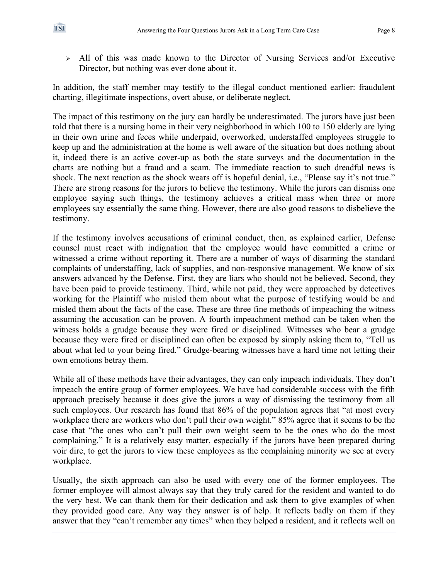<sup>¾</sup> All of this was made known to the Director of Nursing Services and/or Executive Director, but nothing was ever done about it.

In addition, the staff member may testify to the illegal conduct mentioned earlier: fraudulent charting, illegitimate inspections, overt abuse, or deliberate neglect.

The impact of this testimony on the jury can hardly be underestimated. The jurors have just been told that there is a nursing home in their very neighborhood in which 100 to 150 elderly are lying in their own urine and feces while underpaid, overworked, understaffed employees struggle to keep up and the administration at the home is well aware of the situation but does nothing about it, indeed there is an active cover-up as both the state surveys and the documentation in the charts are nothing but a fraud and a scam. The immediate reaction to such dreadful news is shock. The next reaction as the shock wears off is hopeful denial, i.e., "Please say it's not true." There are strong reasons for the jurors to believe the testimony. While the jurors can dismiss one employee saying such things, the testimony achieves a critical mass when three or more employees say essentially the same thing. However, there are also good reasons to disbelieve the testimony.

If the testimony involves accusations of criminal conduct, then, as explained earlier, Defense counsel must react with indignation that the employee would have committed a crime or witnessed a crime without reporting it. There are a number of ways of disarming the standard complaints of understaffing, lack of supplies, and non-responsive management. We know of six answers advanced by the Defense. First, they are liars who should not be believed. Second, they have been paid to provide testimony. Third, while not paid, they were approached by detectives working for the Plaintiff who misled them about what the purpose of testifying would be and misled them about the facts of the case. These are three fine methods of impeaching the witness assuming the accusation can be proven. A fourth impeachment method can be taken when the witness holds a grudge because they were fired or disciplined. Witnesses who bear a grudge because they were fired or disciplined can often be exposed by simply asking them to, "Tell us about what led to your being fired." Grudge-bearing witnesses have a hard time not letting their own emotions betray them.

While all of these methods have their advantages, they can only impeach individuals. They don't impeach the entire group of former employees. We have had considerable success with the fifth approach precisely because it does give the jurors a way of dismissing the testimony from all such employees. Our research has found that 86% of the population agrees that "at most every workplace there are workers who don't pull their own weight." 85% agree that it seems to be the case that "the ones who can't pull their own weight seem to be the ones who do the most complaining." It is a relatively easy matter, especially if the jurors have been prepared during voir dire, to get the jurors to view these employees as the complaining minority we see at every workplace.

Usually, the sixth approach can also be used with every one of the former employees. The former employee will almost always say that they truly cared for the resident and wanted to do the very best. We can thank them for their dedication and ask them to give examples of when they provided good care. Any way they answer is of help. It reflects badly on them if they answer that they "can't remember any times" when they helped a resident, and it reflects well on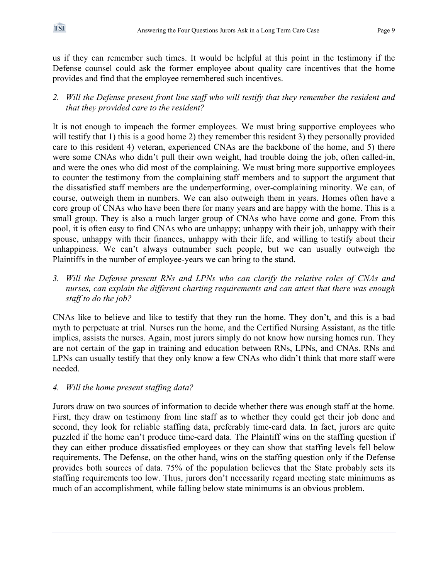us if they can remember such times. It would be helpful at this point in the testimony if the Defense counsel could ask the former employee about quality care incentives that the home provides and find that the employee remembered such incentives.

*2. Will the Defense present front line staff who will testify that they remember the resident and that they provided care to the resident?* 

It is not enough to impeach the former employees. We must bring supportive employees who will testify that 1) this is a good home 2) they remember this resident 3) they personally provided care to this resident 4) veteran, experienced CNAs are the backbone of the home, and 5) there were some CNAs who didn't pull their own weight, had trouble doing the job, often called-in, and were the ones who did most of the complaining. We must bring more supportive employees to counter the testimony from the complaining staff members and to support the argument that the dissatisfied staff members are the underperforming, over-complaining minority. We can, of course, outweigh them in numbers. We can also outweigh them in years. Homes often have a core group of CNAs who have been there for many years and are happy with the home. This is a small group. They is also a much larger group of CNAs who have come and gone. From this pool, it is often easy to find CNAs who are unhappy; unhappy with their job, unhappy with their spouse, unhappy with their finances, unhappy with their life, and willing to testify about their unhappiness. We can't always outnumber such people, but we can usually outweigh the Plaintiffs in the number of employee-years we can bring to the stand.

*3. Will the Defense present RNs and LPNs who can clarify the relative roles of CNAs and nurses, can explain the different charting requirements and can attest that there was enough staff to do the job?* 

CNAs like to believe and like to testify that they run the home. They don't, and this is a bad myth to perpetuate at trial. Nurses run the home, and the Certified Nursing Assistant, as the title implies, assists the nurses. Again, most jurors simply do not know how nursing homes run. They are not certain of the gap in training and education between RNs, LPNs, and CNAs. RNs and LPNs can usually testify that they only know a few CNAs who didn't think that more staff were needed.

# *4. Will the home present staffing data?*

Jurors draw on two sources of information to decide whether there was enough staff at the home. First, they draw on testimony from line staff as to whether they could get their job done and second, they look for reliable staffing data, preferably time-card data. In fact, jurors are quite puzzled if the home can't produce time-card data. The Plaintiff wins on the staffing question if they can either produce dissatisfied employees or they can show that staffing levels fell below requirements. The Defense, on the other hand, wins on the staffing question only if the Defense provides both sources of data. 75% of the population believes that the State probably sets its staffing requirements too low. Thus, jurors don't necessarily regard meeting state minimums as much of an accomplishment, while falling below state minimums is an obvious problem.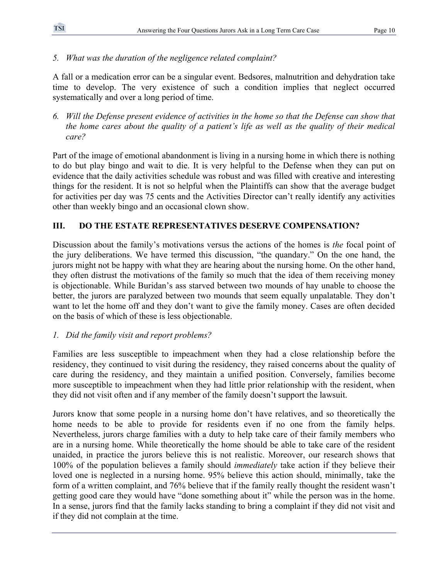### *5. What was the duration of the negligence related complaint?*

A fall or a medication error can be a singular event. Bedsores, malnutrition and dehydration take time to develop. The very existence of such a condition implies that neglect occurred systematically and over a long period of time.

*6. Will the Defense present evidence of activities in the home so that the Defense can show that the home cares about the quality of a patient's life as well as the quality of their medical care?* 

Part of the image of emotional abandonment is living in a nursing home in which there is nothing to do but play bingo and wait to die. It is very helpful to the Defense when they can put on evidence that the daily activities schedule was robust and was filled with creative and interesting things for the resident. It is not so helpful when the Plaintiffs can show that the average budget for activities per day was 75 cents and the Activities Director can't really identify any activities other than weekly bingo and an occasional clown show.

# **III. DO THE ESTATE REPRESENTATIVES DESERVE COMPENSATION?**

Discussion about the family's motivations versus the actions of the homes is *the* focal point of the jury deliberations. We have termed this discussion, "the quandary." On the one hand, the jurors might not be happy with what they are hearing about the nursing home. On the other hand, they often distrust the motivations of the family so much that the idea of them receiving money is objectionable. While Buridan's ass starved between two mounds of hay unable to choose the better, the jurors are paralyzed between two mounds that seem equally unpalatable. They don't want to let the home off and they don't want to give the family money. Cases are often decided on the basis of which of these is less objectionable.

# *1. Did the family visit and report problems?*

Families are less susceptible to impeachment when they had a close relationship before the residency, they continued to visit during the residency, they raised concerns about the quality of care during the residency, and they maintain a unified position. Conversely, families become more susceptible to impeachment when they had little prior relationship with the resident, when they did not visit often and if any member of the family doesn't support the lawsuit.

Jurors know that some people in a nursing home don't have relatives, and so theoretically the home needs to be able to provide for residents even if no one from the family helps. Nevertheless, jurors charge families with a duty to help take care of their family members who are in a nursing home. While theoretically the home should be able to take care of the resident unaided, in practice the jurors believe this is not realistic. Moreover, our research shows that 100% of the population believes a family should *immediately* take action if they believe their loved one is neglected in a nursing home. 95% believe this action should, minimally, take the form of a written complaint, and 76% believe that if the family really thought the resident wasn't getting good care they would have "done something about it" while the person was in the home. In a sense, jurors find that the family lacks standing to bring a complaint if they did not visit and if they did not complain at the time.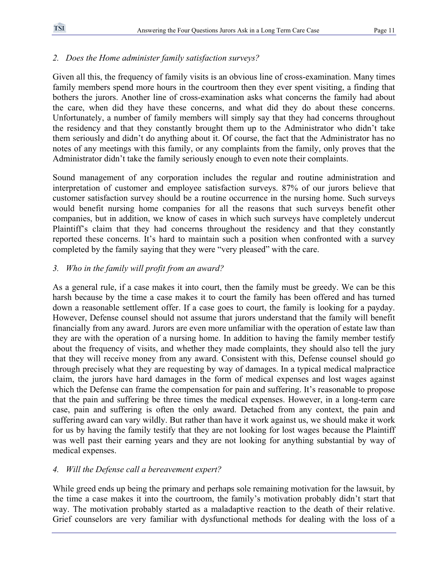# *2. Does the Home administer family satisfaction surveys?*

Given all this, the frequency of family visits is an obvious line of cross-examination. Many times family members spend more hours in the courtroom then they ever spent visiting, a finding that bothers the jurors. Another line of cross-examination asks what concerns the family had about the care, when did they have these concerns, and what did they do about these concerns. Unfortunately, a number of family members will simply say that they had concerns throughout the residency and that they constantly brought them up to the Administrator who didn't take them seriously and didn't do anything about it. Of course, the fact that the Administrator has no notes of any meetings with this family, or any complaints from the family, only proves that the Administrator didn't take the family seriously enough to even note their complaints.

Sound management of any corporation includes the regular and routine administration and interpretation of customer and employee satisfaction surveys. 87% of our jurors believe that customer satisfaction survey should be a routine occurrence in the nursing home. Such surveys would benefit nursing home companies for all the reasons that such surveys benefit other companies, but in addition, we know of cases in which such surveys have completely undercut Plaintiff's claim that they had concerns throughout the residency and that they constantly reported these concerns. It's hard to maintain such a position when confronted with a survey completed by the family saying that they were "very pleased" with the care.

# *3. Who in the family will profit from an award?*

As a general rule, if a case makes it into court, then the family must be greedy. We can be this harsh because by the time a case makes it to court the family has been offered and has turned down a reasonable settlement offer. If a case goes to court, the family is looking for a payday. However, Defense counsel should not assume that jurors understand that the family will benefit financially from any award. Jurors are even more unfamiliar with the operation of estate law than they are with the operation of a nursing home. In addition to having the family member testify about the frequency of visits, and whether they made complaints, they should also tell the jury that they will receive money from any award. Consistent with this, Defense counsel should go through precisely what they are requesting by way of damages. In a typical medical malpractice claim, the jurors have hard damages in the form of medical expenses and lost wages against which the Defense can frame the compensation for pain and suffering. It's reasonable to propose that the pain and suffering be three times the medical expenses. However, in a long-term care case, pain and suffering is often the only award. Detached from any context, the pain and suffering award can vary wildly. But rather than have it work against us, we should make it work for us by having the family testify that they are not looking for lost wages because the Plaintiff was well past their earning years and they are not looking for anything substantial by way of medical expenses.

# *4. Will the Defense call a bereavement expert?*

While greed ends up being the primary and perhaps sole remaining motivation for the lawsuit, by the time a case makes it into the courtroom, the family's motivation probably didn't start that way. The motivation probably started as a maladaptive reaction to the death of their relative. Grief counselors are very familiar with dysfunctional methods for dealing with the loss of a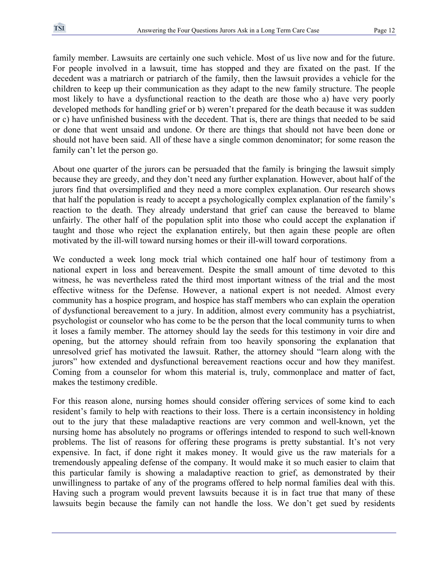family member. Lawsuits are certainly one such vehicle. Most of us live now and for the future. For people involved in a lawsuit, time has stopped and they are fixated on the past. If the decedent was a matriarch or patriarch of the family, then the lawsuit provides a vehicle for the children to keep up their communication as they adapt to the new family structure. The people most likely to have a dysfunctional reaction to the death are those who a) have very poorly developed methods for handling grief or b) weren't prepared for the death because it was sudden or c) have unfinished business with the decedent. That is, there are things that needed to be said or done that went unsaid and undone. Or there are things that should not have been done or should not have been said. All of these have a single common denominator; for some reason the family can't let the person go.

About one quarter of the jurors can be persuaded that the family is bringing the lawsuit simply because they are greedy, and they don't need any further explanation. However, about half of the jurors find that oversimplified and they need a more complex explanation. Our research shows that half the population is ready to accept a psychologically complex explanation of the family's reaction to the death. They already understand that grief can cause the bereaved to blame unfairly. The other half of the population split into those who could accept the explanation if taught and those who reject the explanation entirely, but then again these people are often motivated by the ill-will toward nursing homes or their ill-will toward corporations.

We conducted a week long mock trial which contained one half hour of testimony from a national expert in loss and bereavement. Despite the small amount of time devoted to this witness, he was nevertheless rated the third most important witness of the trial and the most effective witness for the Defense. However, a national expert is not needed. Almost every community has a hospice program, and hospice has staff members who can explain the operation of dysfunctional bereavement to a jury. In addition, almost every community has a psychiatrist, psychologist or counselor who has come to be the person that the local community turns to when it loses a family member. The attorney should lay the seeds for this testimony in voir dire and opening, but the attorney should refrain from too heavily sponsoring the explanation that unresolved grief has motivated the lawsuit. Rather, the attorney should "learn along with the jurors" how extended and dysfunctional bereavement reactions occur and how they manifest. Coming from a counselor for whom this material is, truly, commonplace and matter of fact, makes the testimony credible.

For this reason alone, nursing homes should consider offering services of some kind to each resident's family to help with reactions to their loss. There is a certain inconsistency in holding out to the jury that these maladaptive reactions are very common and well-known, yet the nursing home has absolutely no programs or offerings intended to respond to such well-known problems. The list of reasons for offering these programs is pretty substantial. It's not very expensive. In fact, if done right it makes money. It would give us the raw materials for a tremendously appealing defense of the company. It would make it so much easier to claim that this particular family is showing a maladaptive reaction to grief, as demonstrated by their unwillingness to partake of any of the programs offered to help normal families deal with this. Having such a program would prevent lawsuits because it is in fact true that many of these lawsuits begin because the family can not handle the loss. We don't get sued by residents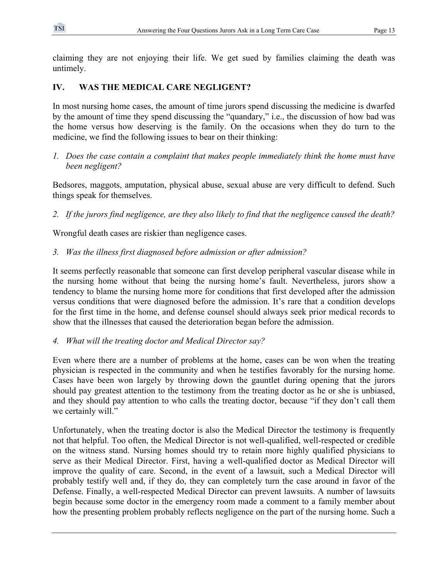claiming they are not enjoying their life. We get sued by families claiming the death was untimely.

# **IV. WAS THE MEDICAL CARE NEGLIGENT?**

In most nursing home cases, the amount of time jurors spend discussing the medicine is dwarfed by the amount of time they spend discussing the "quandary," i.e., the discussion of how bad was the home versus how deserving is the family. On the occasions when they do turn to the medicine, we find the following issues to bear on their thinking:

*1. Does the case contain a complaint that makes people immediately think the home must have been negligent?* 

Bedsores, maggots, amputation, physical abuse, sexual abuse are very difficult to defend. Such things speak for themselves.

*2. If the jurors find negligence, are they also likely to find that the negligence caused the death?* 

Wrongful death cases are riskier than negligence cases.

*3. Was the illness first diagnosed before admission or after admission?* 

It seems perfectly reasonable that someone can first develop peripheral vascular disease while in the nursing home without that being the nursing home's fault. Nevertheless, jurors show a tendency to blame the nursing home more for conditions that first developed after the admission versus conditions that were diagnosed before the admission. It's rare that a condition develops for the first time in the home, and defense counsel should always seek prior medical records to show that the illnesses that caused the deterioration began before the admission.

# *4. What will the treating doctor and Medical Director say?*

Even where there are a number of problems at the home, cases can be won when the treating physician is respected in the community and when he testifies favorably for the nursing home. Cases have been won largely by throwing down the gauntlet during opening that the jurors should pay greatest attention to the testimony from the treating doctor as he or she is unbiased, and they should pay attention to who calls the treating doctor, because "if they don't call them we certainly will."

Unfortunately, when the treating doctor is also the Medical Director the testimony is frequently not that helpful. Too often, the Medical Director is not well-qualified, well-respected or credible on the witness stand. Nursing homes should try to retain more highly qualified physicians to serve as their Medical Director. First, having a well-qualified doctor as Medical Director will improve the quality of care. Second, in the event of a lawsuit, such a Medical Director will probably testify well and, if they do, they can completely turn the case around in favor of the Defense. Finally, a well-respected Medical Director can prevent lawsuits. A number of lawsuits begin because some doctor in the emergency room made a comment to a family member about how the presenting problem probably reflects negligence on the part of the nursing home. Such a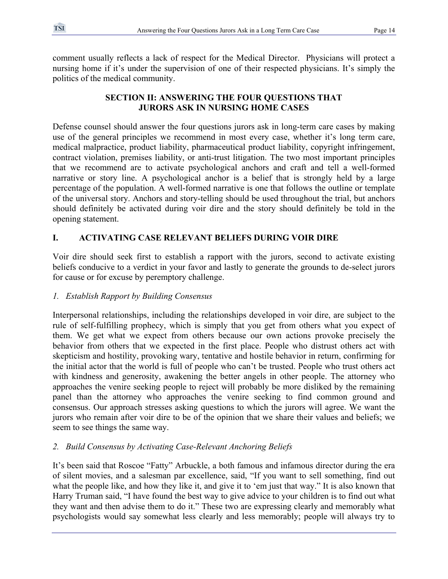comment usually reflects a lack of respect for the Medical Director. Physicians will protect a nursing home if it's under the supervision of one of their respected physicians. It's simply the politics of the medical community.

# **SECTION II: ANSWERING THE FOUR QUESTIONS THAT JURORS ASK IN NURSING HOME CASES**

Defense counsel should answer the four questions jurors ask in long-term care cases by making use of the general principles we recommend in most every case, whether it's long term care, medical malpractice, product liability, pharmaceutical product liability, copyright infringement, contract violation, premises liability, or anti-trust litigation. The two most important principles that we recommend are to activate psychological anchors and craft and tell a well-formed narrative or story line. A psychological anchor is a belief that is strongly held by a large percentage of the population. A well-formed narrative is one that follows the outline or template of the universal story. Anchors and story-telling should be used throughout the trial, but anchors should definitely be activated during voir dire and the story should definitely be told in the opening statement.

# **I. ACTIVATING CASE RELEVANT BELIEFS DURING VOIR DIRE**

Voir dire should seek first to establish a rapport with the jurors, second to activate existing beliefs conducive to a verdict in your favor and lastly to generate the grounds to de-select jurors for cause or for excuse by peremptory challenge.

# *1. Establish Rapport by Building Consensus*

Interpersonal relationships, including the relationships developed in voir dire, are subject to the rule of self-fulfilling prophecy, which is simply that you get from others what you expect of them. We get what we expect from others because our own actions provoke precisely the behavior from others that we expected in the first place. People who distrust others act with skepticism and hostility, provoking wary, tentative and hostile behavior in return, confirming for the initial actor that the world is full of people who can't be trusted. People who trust others act with kindness and generosity, awakening the better angels in other people. The attorney who approaches the venire seeking people to reject will probably be more disliked by the remaining panel than the attorney who approaches the venire seeking to find common ground and consensus. Our approach stresses asking questions to which the jurors will agree. We want the jurors who remain after voir dire to be of the opinion that we share their values and beliefs; we seem to see things the same way.

# *2. Build Consensus by Activating Case-Relevant Anchoring Beliefs*

It's been said that Roscoe "Fatty" Arbuckle, a both famous and infamous director during the era of silent movies, and a salesman par excellence, said, "If you want to sell something, find out what the people like, and how they like it, and give it to 'em just that way." It is also known that Harry Truman said, "I have found the best way to give advice to your children is to find out what they want and then advise them to do it." These two are expressing clearly and memorably what psychologists would say somewhat less clearly and less memorably; people will always try to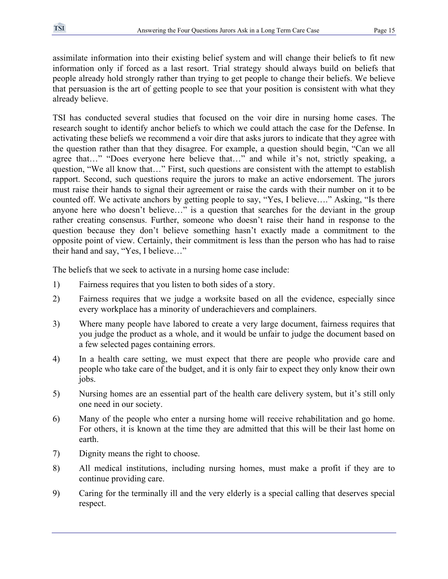assimilate information into their existing belief system and will change their beliefs to fit new information only if forced as a last resort. Trial strategy should always build on beliefs that people already hold strongly rather than trying to get people to change their beliefs. We believe that persuasion is the art of getting people to see that your position is consistent with what they already believe.

TSI has conducted several studies that focused on the voir dire in nursing home cases. The research sought to identify anchor beliefs to which we could attach the case for the Defense. In activating these beliefs we recommend a voir dire that asks jurors to indicate that they agree with the question rather than that they disagree. For example, a question should begin, "Can we all agree that…" "Does everyone here believe that…" and while it's not, strictly speaking, a question, "We all know that…" First, such questions are consistent with the attempt to establish rapport. Second, such questions require the jurors to make an active endorsement. The jurors must raise their hands to signal their agreement or raise the cards with their number on it to be counted off. We activate anchors by getting people to say, "Yes, I believe…." Asking, "Is there anyone here who doesn't believe…" is a question that searches for the deviant in the group rather creating consensus. Further, someone who doesn't raise their hand in response to the question because they don't believe something hasn't exactly made a commitment to the opposite point of view. Certainly, their commitment is less than the person who has had to raise their hand and say, "Yes, I believe…"

The beliefs that we seek to activate in a nursing home case include:

- 1) Fairness requires that you listen to both sides of a story.
- 2) Fairness requires that we judge a worksite based on all the evidence, especially since every workplace has a minority of underachievers and complainers.
- 3) Where many people have labored to create a very large document, fairness requires that you judge the product as a whole, and it would be unfair to judge the document based on a few selected pages containing errors.
- 4) In a health care setting, we must expect that there are people who provide care and people who take care of the budget, and it is only fair to expect they only know their own jobs.
- 5) Nursing homes are an essential part of the health care delivery system, but it's still only one need in our society.
- 6) Many of the people who enter a nursing home will receive rehabilitation and go home. For others, it is known at the time they are admitted that this will be their last home on earth.
- 7) Dignity means the right to choose.
- 8) All medical institutions, including nursing homes, must make a profit if they are to continue providing care.
- 9) Caring for the terminally ill and the very elderly is a special calling that deserves special respect.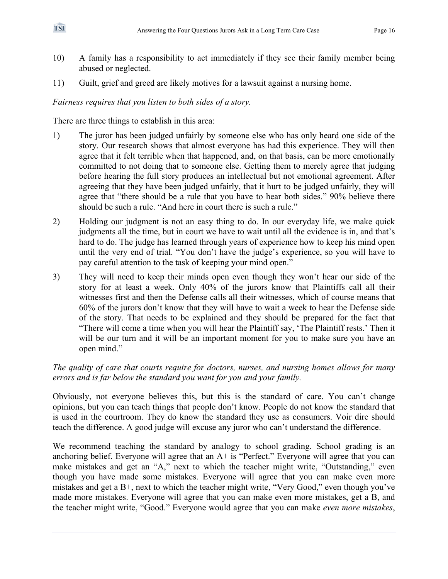- 10) A family has a responsibility to act immediately if they see their family member being abused or neglected.
- 11) Guilt, grief and greed are likely motives for a lawsuit against a nursing home.

# *Fairness requires that you listen to both sides of a story.*

There are three things to establish in this area:

- 1) The juror has been judged unfairly by someone else who has only heard one side of the story. Our research shows that almost everyone has had this experience. They will then agree that it felt terrible when that happened, and, on that basis, can be more emotionally committed to not doing that to someone else. Getting them to merely agree that judging before hearing the full story produces an intellectual but not emotional agreement. After agreeing that they have been judged unfairly, that it hurt to be judged unfairly, they will agree that "there should be a rule that you have to hear both sides." 90% believe there should be such a rule. "And here in court there is such a rule."
- 2) Holding our judgment is not an easy thing to do. In our everyday life, we make quick judgments all the time, but in court we have to wait until all the evidence is in, and that's hard to do. The judge has learned through years of experience how to keep his mind open until the very end of trial. "You don't have the judge's experience, so you will have to pay careful attention to the task of keeping your mind open."
- 3) They will need to keep their minds open even though they won't hear our side of the story for at least a week. Only 40% of the jurors know that Plaintiffs call all their witnesses first and then the Defense calls all their witnesses, which of course means that 60% of the jurors don't know that they will have to wait a week to hear the Defense side of the story. That needs to be explained and they should be prepared for the fact that "There will come a time when you will hear the Plaintiff say, 'The Plaintiff rests.' Then it will be our turn and it will be an important moment for you to make sure you have an open mind."

# *The quality of care that courts require for doctors, nurses, and nursing homes allows for many errors and is far below the standard you want for you and your family.*

Obviously, not everyone believes this, but this is the standard of care. You can't change opinions, but you can teach things that people don't know. People do not know the standard that is used in the courtroom. They do know the standard they use as consumers. Voir dire should teach the difference. A good judge will excuse any juror who can't understand the difference.

We recommend teaching the standard by analogy to school grading. School grading is an anchoring belief. Everyone will agree that an  $A+$  is "Perfect." Everyone will agree that you can make mistakes and get an "A," next to which the teacher might write, "Outstanding," even though you have made some mistakes. Everyone will agree that you can make even more mistakes and get a B+, next to which the teacher might write, "Very Good," even though you've made more mistakes. Everyone will agree that you can make even more mistakes, get a B, and the teacher might write, "Good." Everyone would agree that you can make *even more mistakes*,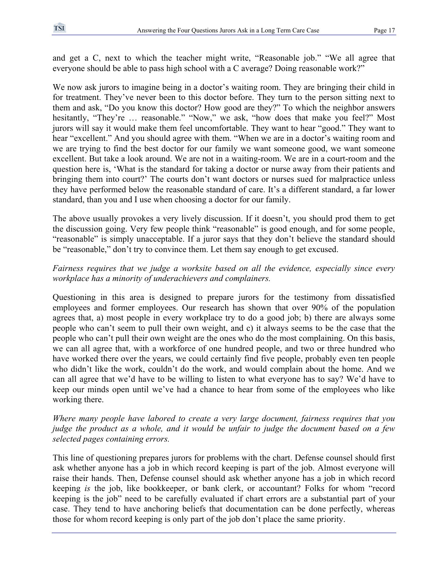and get a C, next to which the teacher might write, "Reasonable job." "We all agree that everyone should be able to pass high school with a C average? Doing reasonable work?"

We now ask jurors to imagine being in a doctor's waiting room. They are bringing their child in for treatment. They've never been to this doctor before. They turn to the person sitting next to them and ask, "Do you know this doctor? How good are they?" To which the neighbor answers hesitantly, "They're ... reasonable." "Now," we ask, "how does that make you feel?" Most jurors will say it would make them feel uncomfortable. They want to hear "good." They want to hear "excellent." And you should agree with them. "When we are in a doctor's waiting room and we are trying to find the best doctor for our family we want someone good, we want someone excellent. But take a look around. We are not in a waiting-room. We are in a court-room and the question here is, 'What is the standard for taking a doctor or nurse away from their patients and bringing them into court?' The courts don't want doctors or nurses sued for malpractice unless they have performed below the reasonable standard of care. It's a different standard, a far lower standard, than you and I use when choosing a doctor for our family.

The above usually provokes a very lively discussion. If it doesn't, you should prod them to get the discussion going. Very few people think "reasonable" is good enough, and for some people, "reasonable" is simply unacceptable. If a juror says that they don't believe the standard should be "reasonable," don't try to convince them. Let them say enough to get excused.

# *Fairness requires that we judge a worksite based on all the evidence, especially since every workplace has a minority of underachievers and complainers.*

Questioning in this area is designed to prepare jurors for the testimony from dissatisfied employees and former employees. Our research has shown that over 90% of the population agrees that, a) most people in every workplace try to do a good job; b) there are always some people who can't seem to pull their own weight, and c) it always seems to be the case that the people who can't pull their own weight are the ones who do the most complaining. On this basis, we can all agree that, with a workforce of one hundred people, and two or three hundred who have worked there over the years, we could certainly find five people, probably even ten people who didn't like the work, couldn't do the work, and would complain about the home. And we can all agree that we'd have to be willing to listen to what everyone has to say? We'd have to keep our minds open until we've had a chance to hear from some of the employees who like working there.

# *Where many people have labored to create a very large document, fairness requires that you judge the product as a whole, and it would be unfair to judge the document based on a few selected pages containing errors.*

This line of questioning prepares jurors for problems with the chart. Defense counsel should first ask whether anyone has a job in which record keeping is part of the job. Almost everyone will raise their hands. Then, Defense counsel should ask whether anyone has a job in which record keeping *is* the job, like bookkeeper, or bank clerk, or accountant? Folks for whom "record keeping is the job" need to be carefully evaluated if chart errors are a substantial part of your case. They tend to have anchoring beliefs that documentation can be done perfectly, whereas those for whom record keeping is only part of the job don't place the same priority.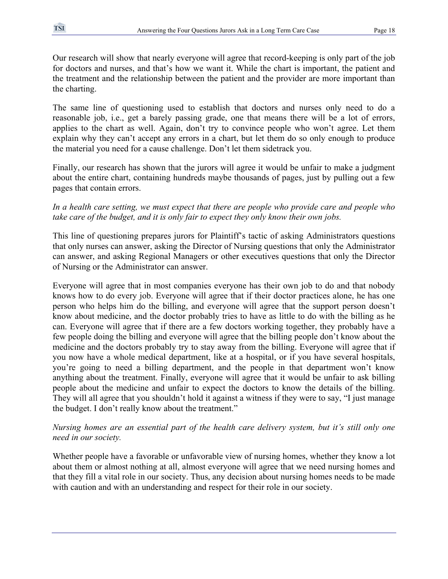Our research will show that nearly everyone will agree that record-keeping is only part of the job for doctors and nurses, and that's how we want it. While the chart is important, the patient and the treatment and the relationship between the patient and the provider are more important than the charting.

The same line of questioning used to establish that doctors and nurses only need to do a reasonable job, i.e., get a barely passing grade, one that means there will be a lot of errors, applies to the chart as well. Again, don't try to convince people who won't agree. Let them explain why they can't accept any errors in a chart, but let them do so only enough to produce the material you need for a cause challenge. Don't let them sidetrack you.

Finally, our research has shown that the jurors will agree it would be unfair to make a judgment about the entire chart, containing hundreds maybe thousands of pages, just by pulling out a few pages that contain errors.

### *In a health care setting, we must expect that there are people who provide care and people who take care of the budget, and it is only fair to expect they only know their own jobs.*

This line of questioning prepares jurors for Plaintiff's tactic of asking Administrators questions that only nurses can answer, asking the Director of Nursing questions that only the Administrator can answer, and asking Regional Managers or other executives questions that only the Director of Nursing or the Administrator can answer.

Everyone will agree that in most companies everyone has their own job to do and that nobody knows how to do every job. Everyone will agree that if their doctor practices alone, he has one person who helps him do the billing, and everyone will agree that the support person doesn't know about medicine, and the doctor probably tries to have as little to do with the billing as he can. Everyone will agree that if there are a few doctors working together, they probably have a few people doing the billing and everyone will agree that the billing people don't know about the medicine and the doctors probably try to stay away from the billing. Everyone will agree that if you now have a whole medical department, like at a hospital, or if you have several hospitals, you're going to need a billing department, and the people in that department won't know anything about the treatment. Finally, everyone will agree that it would be unfair to ask billing people about the medicine and unfair to expect the doctors to know the details of the billing. They will all agree that you shouldn't hold it against a witness if they were to say, "I just manage the budget. I don't really know about the treatment."

# *Nursing homes are an essential part of the health care delivery system, but it's still only one need in our society.*

Whether people have a favorable or unfavorable view of nursing homes, whether they know a lot about them or almost nothing at all, almost everyone will agree that we need nursing homes and that they fill a vital role in our society. Thus, any decision about nursing homes needs to be made with caution and with an understanding and respect for their role in our society.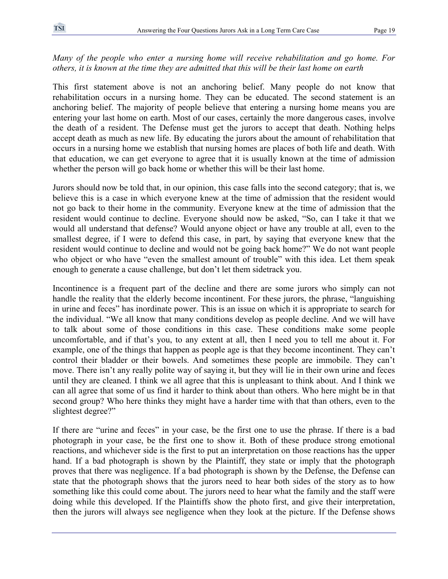### *Many of the people who enter a nursing home will receive rehabilitation and go home. For others, it is known at the time they are admitted that this will be their last home on earth*

This first statement above is not an anchoring belief. Many people do not know that rehabilitation occurs in a nursing home. They can be educated. The second statement is an anchoring belief. The majority of people believe that entering a nursing home means you are entering your last home on earth. Most of our cases, certainly the more dangerous cases, involve the death of a resident. The Defense must get the jurors to accept that death. Nothing helps accept death as much as new life. By educating the jurors about the amount of rehabilitation that occurs in a nursing home we establish that nursing homes are places of both life and death. With that education, we can get everyone to agree that it is usually known at the time of admission whether the person will go back home or whether this will be their last home.

Jurors should now be told that, in our opinion, this case falls into the second category; that is, we believe this is a case in which everyone knew at the time of admission that the resident would not go back to their home in the community. Everyone knew at the time of admission that the resident would continue to decline. Everyone should now be asked, "So, can I take it that we would all understand that defense? Would anyone object or have any trouble at all, even to the smallest degree, if I were to defend this case, in part, by saying that everyone knew that the resident would continue to decline and would not be going back home?" We do not want people who object or who have "even the smallest amount of trouble" with this idea. Let them speak enough to generate a cause challenge, but don't let them sidetrack you.

Incontinence is a frequent part of the decline and there are some jurors who simply can not handle the reality that the elderly become incontinent. For these jurors, the phrase, "languishing in urine and feces" has inordinate power. This is an issue on which it is appropriate to search for the individual. "We all know that many conditions develop as people decline. And we will have to talk about some of those conditions in this case. These conditions make some people uncomfortable, and if that's you, to any extent at all, then I need you to tell me about it. For example, one of the things that happen as people age is that they become incontinent. They can't control their bladder or their bowels. And sometimes these people are immobile. They can't move. There isn't any really polite way of saying it, but they will lie in their own urine and feces until they are cleaned. I think we all agree that this is unpleasant to think about. And I think we can all agree that some of us find it harder to think about than others. Who here might be in that second group? Who here thinks they might have a harder time with that than others, even to the slightest degree?"

If there are "urine and feces" in your case, be the first one to use the phrase. If there is a bad photograph in your case, be the first one to show it. Both of these produce strong emotional reactions, and whichever side is the first to put an interpretation on those reactions has the upper hand. If a bad photograph is shown by the Plaintiff, they state or imply that the photograph proves that there was negligence. If a bad photograph is shown by the Defense, the Defense can state that the photograph shows that the jurors need to hear both sides of the story as to how something like this could come about. The jurors need to hear what the family and the staff were doing while this developed. If the Plaintiffs show the photo first, and give their interpretation, then the jurors will always see negligence when they look at the picture. If the Defense shows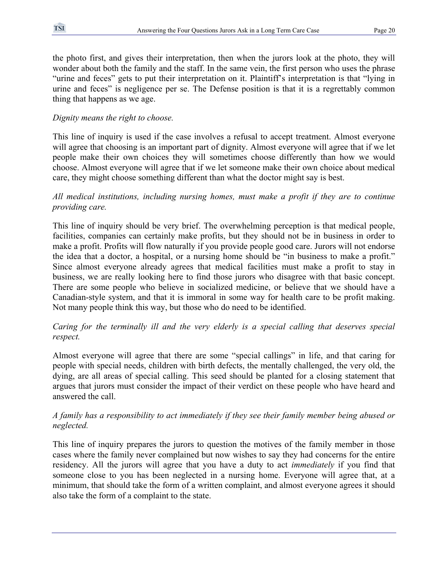the photo first, and gives their interpretation, then when the jurors look at the photo, they will wonder about both the family and the staff. In the same vein, the first person who uses the phrase "urine and feces" gets to put their interpretation on it. Plaintiff's interpretation is that "lying in urine and feces" is negligence per se. The Defense position is that it is a regrettably common thing that happens as we age.

### *Dignity means the right to choose.*

This line of inquiry is used if the case involves a refusal to accept treatment. Almost everyone will agree that choosing is an important part of dignity. Almost everyone will agree that if we let people make their own choices they will sometimes choose differently than how we would choose. Almost everyone will agree that if we let someone make their own choice about medical care, they might choose something different than what the doctor might say is best.

#### *All medical institutions, including nursing homes, must make a profit if they are to continue providing care.*

This line of inquiry should be very brief. The overwhelming perception is that medical people, facilities, companies can certainly make profits, but they should not be in business in order to make a profit. Profits will flow naturally if you provide people good care. Jurors will not endorse the idea that a doctor, a hospital, or a nursing home should be "in business to make a profit." Since almost everyone already agrees that medical facilities must make a profit to stay in business, we are really looking here to find those jurors who disagree with that basic concept. There are some people who believe in socialized medicine, or believe that we should have a Canadian-style system, and that it is immoral in some way for health care to be profit making. Not many people think this way, but those who do need to be identified.

# *Caring for the terminally ill and the very elderly is a special calling that deserves special respect.*

Almost everyone will agree that there are some "special callings" in life, and that caring for people with special needs, children with birth defects, the mentally challenged, the very old, the dying, are all areas of special calling. This seed should be planted for a closing statement that argues that jurors must consider the impact of their verdict on these people who have heard and answered the call.

#### *A family has a responsibility to act immediately if they see their family member being abused or neglected.*

This line of inquiry prepares the jurors to question the motives of the family member in those cases where the family never complained but now wishes to say they had concerns for the entire residency. All the jurors will agree that you have a duty to act *immediately* if you find that someone close to you has been neglected in a nursing home. Everyone will agree that, at a minimum, that should take the form of a written complaint, and almost everyone agrees it should also take the form of a complaint to the state.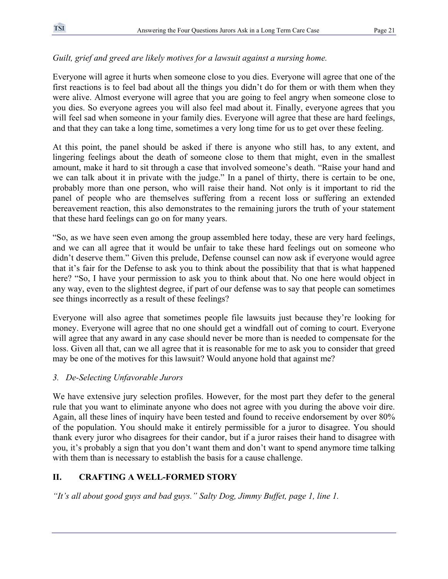# *Guilt, grief and greed are likely motives for a lawsuit against a nursing home.*

Everyone will agree it hurts when someone close to you dies. Everyone will agree that one of the first reactions is to feel bad about all the things you didn't do for them or with them when they were alive. Almost everyone will agree that you are going to feel angry when someone close to you dies. So everyone agrees you will also feel mad about it. Finally, everyone agrees that you will feel sad when someone in your family dies. Everyone will agree that these are hard feelings, and that they can take a long time, sometimes a very long time for us to get over these feeling.

At this point, the panel should be asked if there is anyone who still has, to any extent, and lingering feelings about the death of someone close to them that might, even in the smallest amount, make it hard to sit through a case that involved someone's death. "Raise your hand and we can talk about it in private with the judge." In a panel of thirty, there is certain to be one, probably more than one person, who will raise their hand. Not only is it important to rid the panel of people who are themselves suffering from a recent loss or suffering an extended bereavement reaction, this also demonstrates to the remaining jurors the truth of your statement that these hard feelings can go on for many years.

"So, as we have seen even among the group assembled here today, these are very hard feelings, and we can all agree that it would be unfair to take these hard feelings out on someone who didn't deserve them." Given this prelude, Defense counsel can now ask if everyone would agree that it's fair for the Defense to ask you to think about the possibility that that is what happened here? "So, I have your permission to ask you to think about that. No one here would object in any way, even to the slightest degree, if part of our defense was to say that people can sometimes see things incorrectly as a result of these feelings?

Everyone will also agree that sometimes people file lawsuits just because they're looking for money. Everyone will agree that no one should get a windfall out of coming to court. Everyone will agree that any award in any case should never be more than is needed to compensate for the loss. Given all that, can we all agree that it is reasonable for me to ask you to consider that greed may be one of the motives for this lawsuit? Would anyone hold that against me?

# *3. De-Selecting Unfavorable Jurors*

We have extensive jury selection profiles. However, for the most part they defer to the general rule that you want to eliminate anyone who does not agree with you during the above voir dire. Again, all these lines of inquiry have been tested and found to receive endorsement by over 80% of the population. You should make it entirely permissible for a juror to disagree. You should thank every juror who disagrees for their candor, but if a juror raises their hand to disagree with you, it's probably a sign that you don't want them and don't want to spend anymore time talking with them than is necessary to establish the basis for a cause challenge.

# **II. CRAFTING A WELL-FORMED STORY**

*"It's all about good guys and bad guys." Salty Dog, Jimmy Buffet, page 1, line 1.*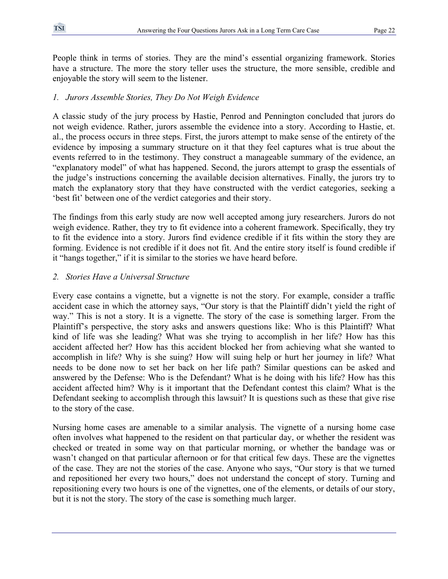People think in terms of stories. They are the mind's essential organizing framework. Stories have a structure. The more the story teller uses the structure, the more sensible, credible and enjoyable the story will seem to the listener.

# *1. Jurors Assemble Stories, They Do Not Weigh Evidence*

A classic study of the jury process by Hastie, Penrod and Pennington concluded that jurors do not weigh evidence. Rather, jurors assemble the evidence into a story. According to Hastie, et. al., the process occurs in three steps. First, the jurors attempt to make sense of the entirety of the evidence by imposing a summary structure on it that they feel captures what is true about the events referred to in the testimony. They construct a manageable summary of the evidence, an "explanatory model" of what has happened. Second, the jurors attempt to grasp the essentials of the judge's instructions concerning the available decision alternatives. Finally, the jurors try to match the explanatory story that they have constructed with the verdict categories, seeking a 'best fit' between one of the verdict categories and their story.

The findings from this early study are now well accepted among jury researchers. Jurors do not weigh evidence. Rather, they try to fit evidence into a coherent framework. Specifically, they try to fit the evidence into a story. Jurors find evidence credible if it fits within the story they are forming. Evidence is not credible if it does not fit. And the entire story itself is found credible if it "hangs together," if it is similar to the stories we have heard before.

# *2. Stories Have a Universal Structure*

Every case contains a vignette, but a vignette is not the story. For example, consider a traffic accident case in which the attorney says, "Our story is that the Plaintiff didn't yield the right of way." This is not a story. It is a vignette. The story of the case is something larger. From the Plaintiff's perspective, the story asks and answers questions like: Who is this Plaintiff? What kind of life was she leading? What was she trying to accomplish in her life? How has this accident affected her? How has this accident blocked her from achieving what she wanted to accomplish in life? Why is she suing? How will suing help or hurt her journey in life? What needs to be done now to set her back on her life path? Similar questions can be asked and answered by the Defense: Who is the Defendant? What is he doing with his life? How has this accident affected him? Why is it important that the Defendant contest this claim? What is the Defendant seeking to accomplish through this lawsuit? It is questions such as these that give rise to the story of the case.

Nursing home cases are amenable to a similar analysis. The vignette of a nursing home case often involves what happened to the resident on that particular day, or whether the resident was checked or treated in some way on that particular morning, or whether the bandage was or wasn't changed on that particular afternoon or for that critical few days. These are the vignettes of the case. They are not the stories of the case. Anyone who says, "Our story is that we turned and repositioned her every two hours," does not understand the concept of story. Turning and repositioning every two hours is one of the vignettes, one of the elements, or details of our story, but it is not the story. The story of the case is something much larger.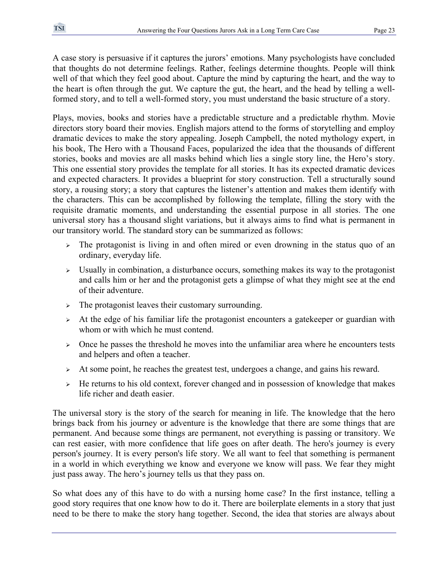A case story is persuasive if it captures the jurors' emotions. Many psychologists have concluded that thoughts do not determine feelings. Rather, feelings determine thoughts. People will think well of that which they feel good about. Capture the mind by capturing the heart, and the way to the heart is often through the gut. We capture the gut, the heart, and the head by telling a wellformed story, and to tell a well-formed story, you must understand the basic structure of a story.

Plays, movies, books and stories have a predictable structure and a predictable rhythm. Movie directors story board their movies. English majors attend to the forms of storytelling and employ dramatic devices to make the story appealing. Joseph Campbell, the noted mythology expert, in his book, The Hero with a Thousand Faces, popularized the idea that the thousands of different stories, books and movies are all masks behind which lies a single story line, the Hero's story. This one essential story provides the template for all stories. It has its expected dramatic devices and expected characters. It provides a blueprint for story construction. Tell a structurally sound story, a rousing story; a story that captures the listener's attention and makes them identify with the characters. This can be accomplished by following the template, filling the story with the requisite dramatic moments, and understanding the essential purpose in all stories. The one universal story has a thousand slight variations, but it always aims to find what is permanent in our transitory world. The standard story can be summarized as follows:

- The protagonist is living in and often mired or even drowning in the status quo of an ordinary, everyday life.
- $\triangleright$  Usually in combination, a disturbance occurs, something makes its way to the protagonist and calls him or her and the protagonist gets a glimpse of what they might see at the end of their adventure.
- <sup>¾</sup> The protagonist leaves their customary surrounding.
- $\triangleright$  At the edge of his familiar life the protagonist encounters a gatekeeper or guardian with whom or with which he must contend.
- $\geq$  Once he passes the threshold he moves into the unfamiliar area where he encounters tests and helpers and often a teacher.
- $\triangleright$  At some point, he reaches the greatest test, undergoes a change, and gains his reward.
- <sup>¾</sup> He returns to his old context, forever changed and in possession of knowledge that makes life richer and death easier.

The universal story is the story of the search for meaning in life. The knowledge that the hero brings back from his journey or adventure is the knowledge that there are some things that are permanent. And because some things are permanent, not everything is passing or transitory. We can rest easier, with more confidence that life goes on after death. The hero's journey is every person's journey. It is every person's life story. We all want to feel that something is permanent in a world in which everything we know and everyone we know will pass. We fear they might just pass away. The hero's journey tells us that they pass on.

So what does any of this have to do with a nursing home case? In the first instance, telling a good story requires that one know how to do it. There are boilerplate elements in a story that just need to be there to make the story hang together. Second, the idea that stories are always about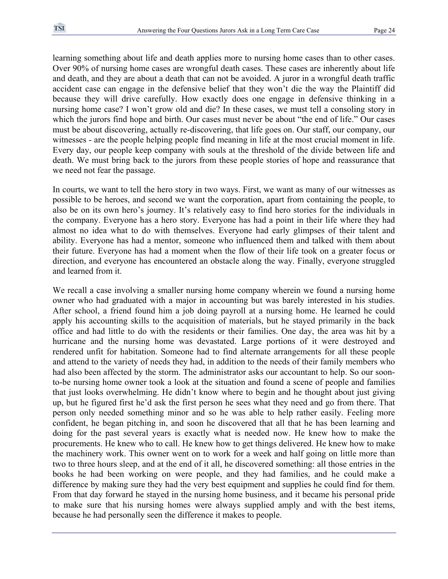learning something about life and death applies more to nursing home cases than to other cases. Over 90% of nursing home cases are wrongful death cases. These cases are inherently about life and death, and they are about a death that can not be avoided. A juror in a wrongful death traffic accident case can engage in the defensive belief that they won't die the way the Plaintiff did because they will drive carefully. How exactly does one engage in defensive thinking in a nursing home case? I won't grow old and die? In these cases, we must tell a consoling story in which the jurors find hope and birth. Our cases must never be about "the end of life." Our cases must be about discovering, actually re-discovering, that life goes on. Our staff, our company, our witnesses - are the people helping people find meaning in life at the most crucial moment in life. Every day, our people keep company with souls at the threshold of the divide between life and death. We must bring back to the jurors from these people stories of hope and reassurance that we need not fear the passage.

In courts, we want to tell the hero story in two ways. First, we want as many of our witnesses as possible to be heroes, and second we want the corporation, apart from containing the people, to also be on its own hero's journey. It's relatively easy to find hero stories for the individuals in the company. Everyone has a hero story. Everyone has had a point in their life where they had almost no idea what to do with themselves. Everyone had early glimpses of their talent and ability. Everyone has had a mentor, someone who influenced them and talked with them about their future. Everyone has had a moment when the flow of their life took on a greater focus or direction, and everyone has encountered an obstacle along the way. Finally, everyone struggled and learned from it.

We recall a case involving a smaller nursing home company wherein we found a nursing home owner who had graduated with a major in accounting but was barely interested in his studies. After school, a friend found him a job doing payroll at a nursing home. He learned he could apply his accounting skills to the acquisition of materials, but he stayed primarily in the back office and had little to do with the residents or their families. One day, the area was hit by a hurricane and the nursing home was devastated. Large portions of it were destroyed and rendered unfit for habitation. Someone had to find alternate arrangements for all these people and attend to the variety of needs they had, in addition to the needs of their family members who had also been affected by the storm. The administrator asks our accountant to help. So our soonto-be nursing home owner took a look at the situation and found a scene of people and families that just looks overwhelming. He didn't know where to begin and he thought about just giving up, but he figured first he'd ask the first person he sees what they need and go from there. That person only needed something minor and so he was able to help rather easily. Feeling more confident, he began pitching in, and soon he discovered that all that he has been learning and doing for the past several years is exactly what is needed now. He knew how to make the procurements. He knew who to call. He knew how to get things delivered. He knew how to make the machinery work. This owner went on to work for a week and half going on little more than two to three hours sleep, and at the end of it all, he discovered something: all those entries in the books he had been working on were people, and they had families, and he could make a difference by making sure they had the very best equipment and supplies he could find for them. From that day forward he stayed in the nursing home business, and it became his personal pride to make sure that his nursing homes were always supplied amply and with the best items, because he had personally seen the difference it makes to people.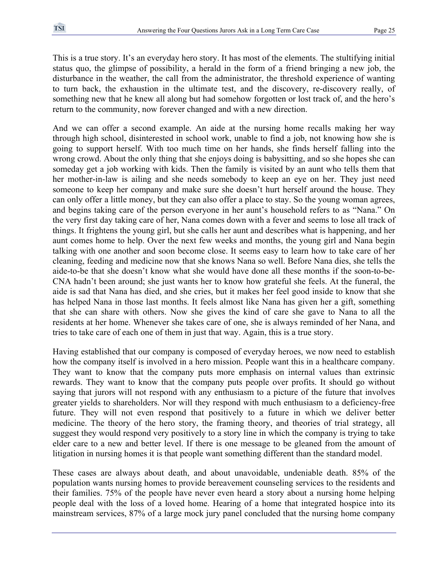This is a true story. It's an everyday hero story. It has most of the elements. The stultifying initial status quo, the glimpse of possibility, a herald in the form of a friend bringing a new job, the disturbance in the weather, the call from the administrator, the threshold experience of wanting to turn back, the exhaustion in the ultimate test, and the discovery, re-discovery really, of something new that he knew all along but had somehow forgotten or lost track of, and the hero's return to the community, now forever changed and with a new direction.

And we can offer a second example. An aide at the nursing home recalls making her way through high school, disinterested in school work, unable to find a job, not knowing how she is going to support herself. With too much time on her hands, she finds herself falling into the wrong crowd. About the only thing that she enjoys doing is babysitting, and so she hopes she can someday get a job working with kids. Then the family is visited by an aunt who tells them that her mother-in-law is ailing and she needs somebody to keep an eye on her. They just need someone to keep her company and make sure she doesn't hurt herself around the house. They can only offer a little money, but they can also offer a place to stay. So the young woman agrees, and begins taking care of the person everyone in her aunt's household refers to as "Nana." On the very first day taking care of her, Nana comes down with a fever and seems to lose all track of things. It frightens the young girl, but she calls her aunt and describes what is happening, and her aunt comes home to help. Over the next few weeks and months, the young girl and Nana begin talking with one another and soon become close. It seems easy to learn how to take care of her cleaning, feeding and medicine now that she knows Nana so well. Before Nana dies, she tells the aide-to-be that she doesn't know what she would have done all these months if the soon-to-be-CNA hadn't been around; she just wants her to know how grateful she feels. At the funeral, the aide is sad that Nana has died, and she cries, but it makes her feel good inside to know that she has helped Nana in those last months. It feels almost like Nana has given her a gift, something that she can share with others. Now she gives the kind of care she gave to Nana to all the residents at her home. Whenever she takes care of one, she is always reminded of her Nana, and tries to take care of each one of them in just that way. Again, this is a true story.

Having established that our company is composed of everyday heroes, we now need to establish how the company itself is involved in a hero mission. People want this in a healthcare company. They want to know that the company puts more emphasis on internal values than extrinsic rewards. They want to know that the company puts people over profits. It should go without saying that jurors will not respond with any enthusiasm to a picture of the future that involves greater yields to shareholders. Nor will they respond with much enthusiasm to a deficiency-free future. They will not even respond that positively to a future in which we deliver better medicine. The theory of the hero story, the framing theory, and theories of trial strategy, all suggest they would respond very positively to a story line in which the company is trying to take elder care to a new and better level. If there is one message to be gleaned from the amount of litigation in nursing homes it is that people want something different than the standard model.

These cases are always about death, and about unavoidable, undeniable death. 85% of the population wants nursing homes to provide bereavement counseling services to the residents and their families. 75% of the people have never even heard a story about a nursing home helping people deal with the loss of a loved home. Hearing of a home that integrated hospice into its mainstream services, 87% of a large mock jury panel concluded that the nursing home company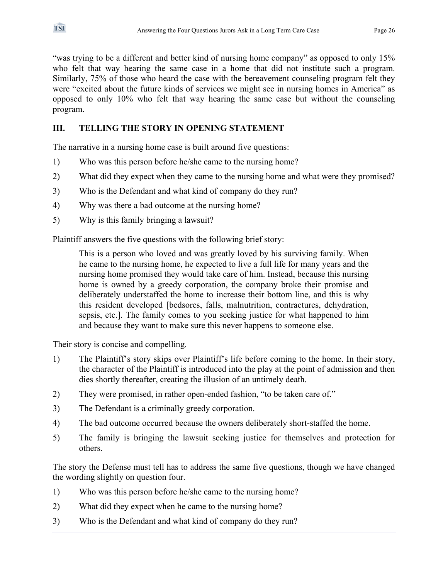"was trying to be a different and better kind of nursing home company" as opposed to only 15% who felt that way hearing the same case in a home that did not institute such a program. Similarly, 75% of those who heard the case with the bereavement counseling program felt they were "excited about the future kinds of services we might see in nursing homes in America" as opposed to only 10% who felt that way hearing the same case but without the counseling program.

# **III. TELLING THE STORY IN OPENING STATEMENT**

The narrative in a nursing home case is built around five questions:

- 1) Who was this person before he/she came to the nursing home?
- 2) What did they expect when they came to the nursing home and what were they promised?
- 3) Who is the Defendant and what kind of company do they run?
- 4) Why was there a bad outcome at the nursing home?
- 5) Why is this family bringing a lawsuit?

Plaintiff answers the five questions with the following brief story:

This is a person who loved and was greatly loved by his surviving family. When he came to the nursing home, he expected to live a full life for many years and the nursing home promised they would take care of him. Instead, because this nursing home is owned by a greedy corporation, the company broke their promise and deliberately understaffed the home to increase their bottom line, and this is why this resident developed [bedsores, falls, malnutrition, contractures, dehydration, sepsis, etc.]. The family comes to you seeking justice for what happened to him and because they want to make sure this never happens to someone else.

Their story is concise and compelling.

- 1) The Plaintiff's story skips over Plaintiff's life before coming to the home. In their story, the character of the Plaintiff is introduced into the play at the point of admission and then dies shortly thereafter, creating the illusion of an untimely death.
- 2) They were promised, in rather open-ended fashion, "to be taken care of."
- 3) The Defendant is a criminally greedy corporation.
- 4) The bad outcome occurred because the owners deliberately short-staffed the home.
- 5) The family is bringing the lawsuit seeking justice for themselves and protection for others.

The story the Defense must tell has to address the same five questions, though we have changed the wording slightly on question four.

- 1) Who was this person before he/she came to the nursing home?
- 2) What did they expect when he came to the nursing home?
- 3) Who is the Defendant and what kind of company do they run?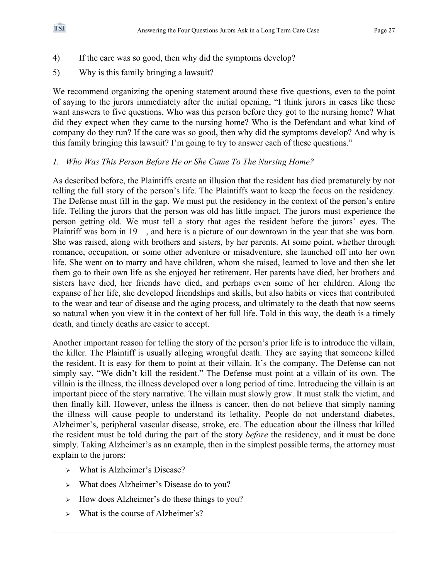- 4) If the care was so good, then why did the symptoms develop?
- 5) Why is this family bringing a lawsuit?

We recommend organizing the opening statement around these five questions, even to the point of saying to the jurors immediately after the initial opening, "I think jurors in cases like these want answers to five questions. Who was this person before they got to the nursing home? What did they expect when they came to the nursing home? Who is the Defendant and what kind of company do they run? If the care was so good, then why did the symptoms develop? And why is this family bringing this lawsuit? I'm going to try to answer each of these questions."

# *1. Who Was This Person Before He or She Came To The Nursing Home?*

As described before, the Plaintiffs create an illusion that the resident has died prematurely by not telling the full story of the person's life. The Plaintiffs want to keep the focus on the residency. The Defense must fill in the gap. We must put the residency in the context of the person's entire life. Telling the jurors that the person was old has little impact. The jurors must experience the person getting old. We must tell a story that ages the resident before the jurors' eyes. The Plaintiff was born in 19 , and here is a picture of our downtown in the year that she was born. She was raised, along with brothers and sisters, by her parents. At some point, whether through romance, occupation, or some other adventure or misadventure, she launched off into her own life. She went on to marry and have children, whom she raised, learned to love and then she let them go to their own life as she enjoyed her retirement. Her parents have died, her brothers and sisters have died, her friends have died, and perhaps even some of her children. Along the expanse of her life, she developed friendships and skills, but also habits or vices that contributed to the wear and tear of disease and the aging process, and ultimately to the death that now seems so natural when you view it in the context of her full life. Told in this way, the death is a timely death, and timely deaths are easier to accept.

Another important reason for telling the story of the person's prior life is to introduce the villain, the killer. The Plaintiff is usually alleging wrongful death. They are saying that someone killed the resident. It is easy for them to point at their villain. It's the company. The Defense can not simply say, "We didn't kill the resident." The Defense must point at a villain of its own. The villain is the illness, the illness developed over a long period of time. Introducing the villain is an important piece of the story narrative. The villain must slowly grow. It must stalk the victim, and then finally kill. However, unless the illness is cancer, then do not believe that simply naming the illness will cause people to understand its lethality. People do not understand diabetes, Alzheimer's, peripheral vascular disease, stroke, etc. The education about the illness that killed the resident must be told during the part of the story *before* the residency, and it must be done simply. Taking Alzheimer's as an example, then in the simplest possible terms, the attorney must explain to the jurors:

- <sup>¾</sup> What is Alzheimer's Disease?
- <sup>¾</sup> What does Alzheimer's Disease do to you?
- $\rightarrow$  How does Alzheimer's do these things to you?
- $\triangleright$  What is the course of Alzheimer's?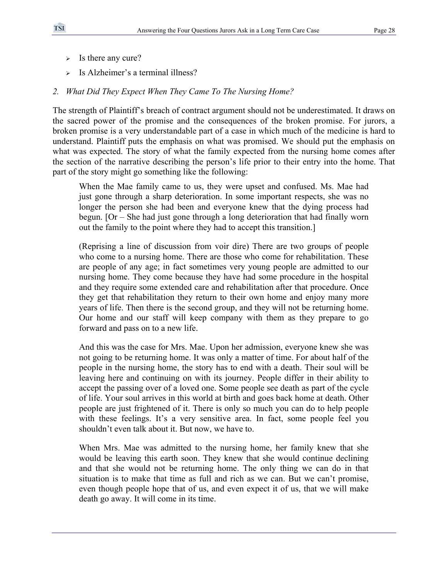- $\triangleright$  Is there any cure?
- $\triangleright$  Is Alzheimer's a terminal illness?

#### *2. What Did They Expect When They Came To The Nursing Home?*

The strength of Plaintiff's breach of contract argument should not be underestimated. It draws on the sacred power of the promise and the consequences of the broken promise. For jurors, a broken promise is a very understandable part of a case in which much of the medicine is hard to understand. Plaintiff puts the emphasis on what was promised. We should put the emphasis on what was expected. The story of what the family expected from the nursing home comes after the section of the narrative describing the person's life prior to their entry into the home. That part of the story might go something like the following:

When the Mae family came to us, they were upset and confused. Ms. Mae had just gone through a sharp deterioration. In some important respects, she was no longer the person she had been and everyone knew that the dying process had begun. [Or – She had just gone through a long deterioration that had finally worn out the family to the point where they had to accept this transition.]

(Reprising a line of discussion from voir dire) There are two groups of people who come to a nursing home. There are those who come for rehabilitation. These are people of any age; in fact sometimes very young people are admitted to our nursing home. They come because they have had some procedure in the hospital and they require some extended care and rehabilitation after that procedure. Once they get that rehabilitation they return to their own home and enjoy many more years of life. Then there is the second group, and they will not be returning home. Our home and our staff will keep company with them as they prepare to go forward and pass on to a new life.

And this was the case for Mrs. Mae. Upon her admission, everyone knew she was not going to be returning home. It was only a matter of time. For about half of the people in the nursing home, the story has to end with a death. Their soul will be leaving here and continuing on with its journey. People differ in their ability to accept the passing over of a loved one. Some people see death as part of the cycle of life. Your soul arrives in this world at birth and goes back home at death. Other people are just frightened of it. There is only so much you can do to help people with these feelings. It's a very sensitive area. In fact, some people feel you shouldn't even talk about it. But now, we have to.

When Mrs. Mae was admitted to the nursing home, her family knew that she would be leaving this earth soon. They knew that she would continue declining and that she would not be returning home. The only thing we can do in that situation is to make that time as full and rich as we can. But we can't promise, even though people hope that of us, and even expect it of us, that we will make death go away. It will come in its time.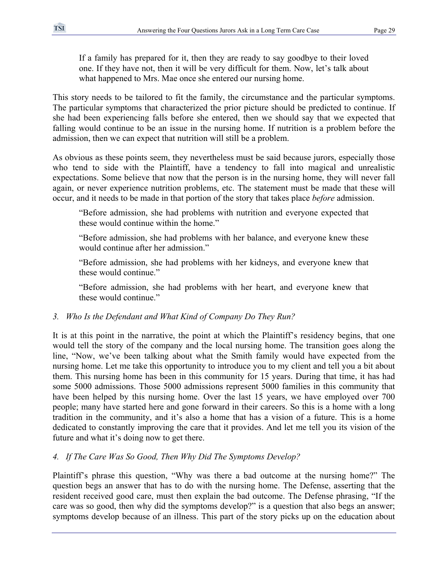If a family has prepared for it, then they are ready to say goodbye to their loved one. If they have not, then it will be very difficult for them. Now, let's talk about what happened to Mrs. Mae once she entered our nursing home.

This story needs to be tailored to fit the family, the circumstance and the particular symptoms. The particular symptoms that characterized the prior picture should be predicted to continue. If she had been experiencing falls before she entered, then we should say that we expected that falling would continue to be an issue in the nursing home. If nutrition is a problem before the admission, then we can expect that nutrition will still be a problem.

As obvious as these points seem, they nevertheless must be said because jurors, especially those who tend to side with the Plaintiff, have a tendency to fall into magical and unrealistic expectations. Some believe that now that the person is in the nursing home, they will never fall again, or never experience nutrition problems, etc. The statement must be made that these will occur, and it needs to be made in that portion of the story that takes place *before* admission.

"Before admission, she had problems with nutrition and everyone expected that these would continue within the home."

"Before admission, she had problems with her balance, and everyone knew these would continue after her admission"

"Before admission, she had problems with her kidneys, and everyone knew that these would continue."

"Before admission, she had problems with her heart, and everyone knew that these would continue."

# *3. Who Is the Defendant and What Kind of Company Do They Run?*

It is at this point in the narrative, the point at which the Plaintiff's residency begins, that one would tell the story of the company and the local nursing home. The transition goes along the line, "Now, we've been talking about what the Smith family would have expected from the nursing home. Let me take this opportunity to introduce you to my client and tell you a bit about them. This nursing home has been in this community for 15 years. During that time, it has had some 5000 admissions. Those 5000 admissions represent 5000 families in this community that have been helped by this nursing home. Over the last 15 years, we have employed over 700 people; many have started here and gone forward in their careers. So this is a home with a long tradition in the community, and it's also a home that has a vision of a future. This is a home dedicated to constantly improving the care that it provides. And let me tell you its vision of the future and what it's doing now to get there.

# *4. If The Care Was So Good, Then Why Did The Symptoms Develop?*

Plaintiff's phrase this question, "Why was there a bad outcome at the nursing home?" The question begs an answer that has to do with the nursing home. The Defense, asserting that the resident received good care, must then explain the bad outcome. The Defense phrasing, "If the care was so good, then why did the symptoms develop?" is a question that also begs an answer; symptoms develop because of an illness. This part of the story picks up on the education about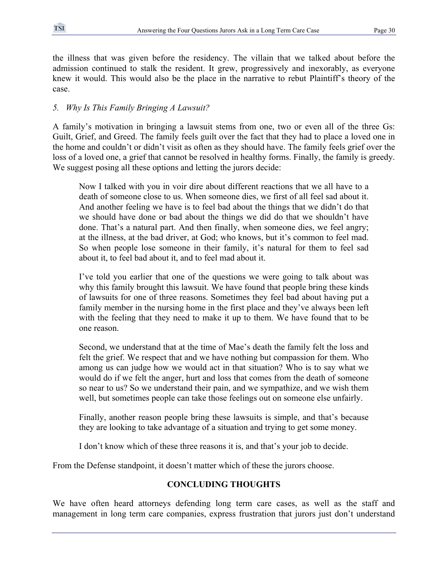the illness that was given before the residency. The villain that we talked about before the admission continued to stalk the resident. It grew, progressively and inexorably, as everyone knew it would. This would also be the place in the narrative to rebut Plaintiff's theory of the case.

# *5. Why Is This Family Bringing A Lawsuit?*

A family's motivation in bringing a lawsuit stems from one, two or even all of the three Gs: Guilt, Grief, and Greed. The family feels guilt over the fact that they had to place a loved one in the home and couldn't or didn't visit as often as they should have. The family feels grief over the loss of a loved one, a grief that cannot be resolved in healthy forms. Finally, the family is greedy. We suggest posing all these options and letting the jurors decide:

Now I talked with you in voir dire about different reactions that we all have to a death of someone close to us. When someone dies, we first of all feel sad about it. And another feeling we have is to feel bad about the things that we didn't do that we should have done or bad about the things we did do that we shouldn't have done. That's a natural part. And then finally, when someone dies, we feel angry; at the illness, at the bad driver, at God; who knows, but it's common to feel mad. So when people lose someone in their family, it's natural for them to feel sad about it, to feel bad about it, and to feel mad about it.

I've told you earlier that one of the questions we were going to talk about was why this family brought this lawsuit. We have found that people bring these kinds of lawsuits for one of three reasons. Sometimes they feel bad about having put a family member in the nursing home in the first place and they've always been left with the feeling that they need to make it up to them. We have found that to be one reason.

Second, we understand that at the time of Mae's death the family felt the loss and felt the grief. We respect that and we have nothing but compassion for them. Who among us can judge how we would act in that situation? Who is to say what we would do if we felt the anger, hurt and loss that comes from the death of someone so near to us? So we understand their pain, and we sympathize, and we wish them well, but sometimes people can take those feelings out on someone else unfairly.

Finally, another reason people bring these lawsuits is simple, and that's because they are looking to take advantage of a situation and trying to get some money.

I don't know which of these three reasons it is, and that's your job to decide.

From the Defense standpoint, it doesn't matter which of these the jurors choose.

# **CONCLUDING THOUGHTS**

We have often heard attorneys defending long term care cases, as well as the staff and management in long term care companies, express frustration that jurors just don't understand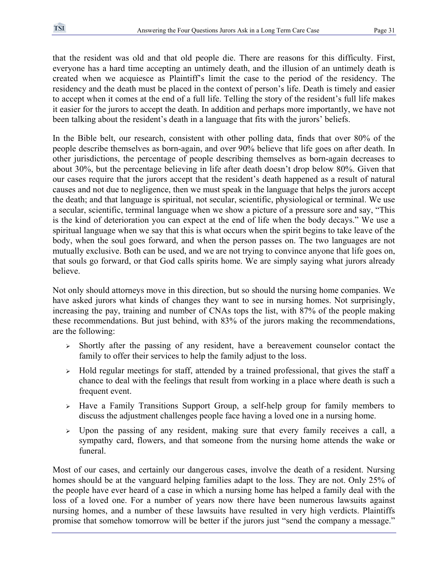that the resident was old and that old people die. There are reasons for this difficulty. First, everyone has a hard time accepting an untimely death, and the illusion of an untimely death is created when we acquiesce as Plaintiff's limit the case to the period of the residency. The residency and the death must be placed in the context of person's life. Death is timely and easier to accept when it comes at the end of a full life. Telling the story of the resident's full life makes it easier for the jurors to accept the death. In addition and perhaps more importantly, we have not been talking about the resident's death in a language that fits with the jurors' beliefs.

In the Bible belt, our research, consistent with other polling data, finds that over 80% of the people describe themselves as born-again, and over 90% believe that life goes on after death. In other jurisdictions, the percentage of people describing themselves as born-again decreases to about 30%, but the percentage believing in life after death doesn't drop below 80%. Given that our cases require that the jurors accept that the resident's death happened as a result of natural causes and not due to negligence, then we must speak in the language that helps the jurors accept the death; and that language is spiritual, not secular, scientific, physiological or terminal. We use a secular, scientific, terminal language when we show a picture of a pressure sore and say, "This is the kind of deterioration you can expect at the end of life when the body decays." We use a spiritual language when we say that this is what occurs when the spirit begins to take leave of the body, when the soul goes forward, and when the person passes on. The two languages are not mutually exclusive. Both can be used, and we are not trying to convince anyone that life goes on, that souls go forward, or that God calls spirits home. We are simply saying what jurors already believe.

Not only should attorneys move in this direction, but so should the nursing home companies. We have asked jurors what kinds of changes they want to see in nursing homes. Not surprisingly, increasing the pay, training and number of CNAs tops the list, with 87% of the people making these recommendations. But just behind, with 83% of the jurors making the recommendations, are the following:

- <sup>¾</sup> Shortly after the passing of any resident, have a bereavement counselor contact the family to offer their services to help the family adjust to the loss.
- <sup>¾</sup> Hold regular meetings for staff, attended by a trained professional, that gives the staff a chance to deal with the feelings that result from working in a place where death is such a frequent event.
- <sup>¾</sup> Have a Family Transitions Support Group, a self-help group for family members to discuss the adjustment challenges people face having a loved one in a nursing home.
- <sup>¾</sup> Upon the passing of any resident, making sure that every family receives a call, a sympathy card, flowers, and that someone from the nursing home attends the wake or funeral.

Most of our cases, and certainly our dangerous cases, involve the death of a resident. Nursing homes should be at the vanguard helping families adapt to the loss. They are not. Only 25% of the people have ever heard of a case in which a nursing home has helped a family deal with the loss of a loved one. For a number of years now there have been numerous lawsuits against nursing homes, and a number of these lawsuits have resulted in very high verdicts. Plaintiffs promise that somehow tomorrow will be better if the jurors just "send the company a message."